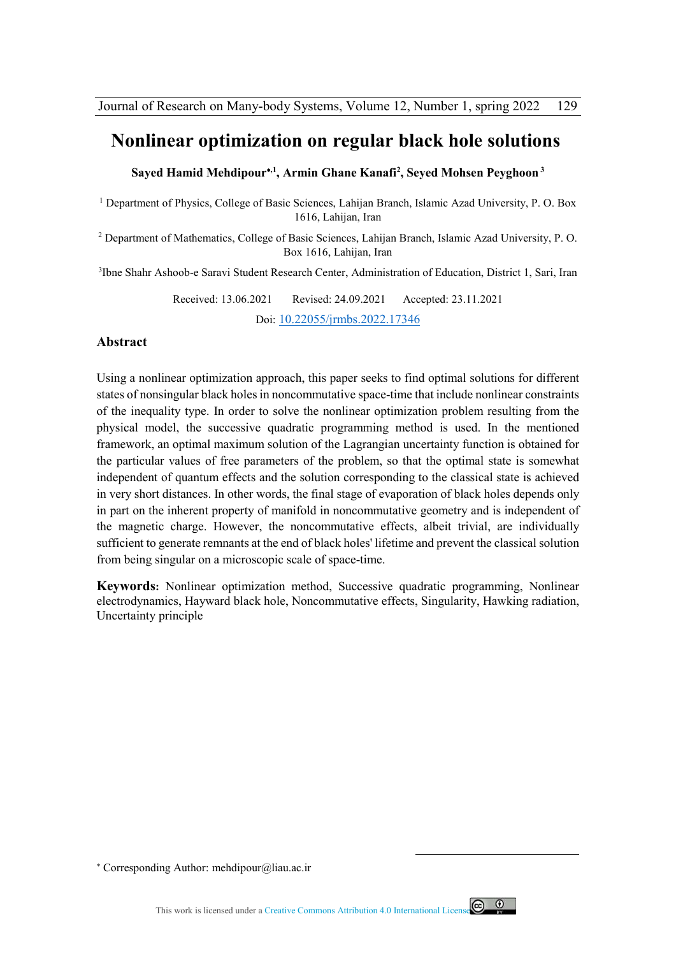### **Nonlinear optimization on regular black hole solutions**

**Sayed Hamid Mehdipour,1, Armin Ghane Kanafi<sup>2</sup> , Seyed Mohsen Peyghoon<sup>3</sup>**

<sup>1</sup> Department of Physics, College of Basic Sciences, Lahijan Branch, Islamic Azad University, P. O. Box 1616, Lahijan, Iran

<sup>2</sup> Department of Mathematics, College of Basic Sciences, Lahijan Branch, Islamic Azad University, P.O. Box 1616, Lahijan, Iran

3 Ibne Shahr Ashoob-e Saravi Student Research Center, Administration of Education, District 1, Sari, Iran

Received: 13.06.2021 Revised: 24.09.2021 Accepted: 23.11.2021 Doi: 10.22055/jrmbs.2022.17346

### **Abstract**

Using a nonlinear optimization approach, this paper seeks to find optimal solutions for different states of nonsingular black holes in noncommutative space-time that include nonlinear constraints of the inequality type. In order to solve the nonlinear optimization problem resulting from the physical model, the successive quadratic programming method is used. In the mentioned framework, an optimal maximum solution of the Lagrangian uncertainty function is obtained for the particular values of free parameters of the problem, so that the optimal state is somewhat independent of quantum effects and the solution corresponding to the classical state is achieved in very short distances. In other words, the final stage of evaporation of black holes depends only in part on the inherent property of manifold in noncommutative geometry and is independent of the magnetic charge. However, the noncommutative effects, albeit trivial, are individually sufficient to generate remnants at the end of black holes' lifetime and prevent the classical solution from being singular on a microscopic scale of space-time.

**Keywords:** Nonlinear optimization method, Successive quadratic programming, Nonlinear electrodynamics, Hayward black hole, Noncommutative effects, Singularity, Hawking radiation, Uncertainty principle



.

Corresponding Author: mehdipour@liau.ac.ir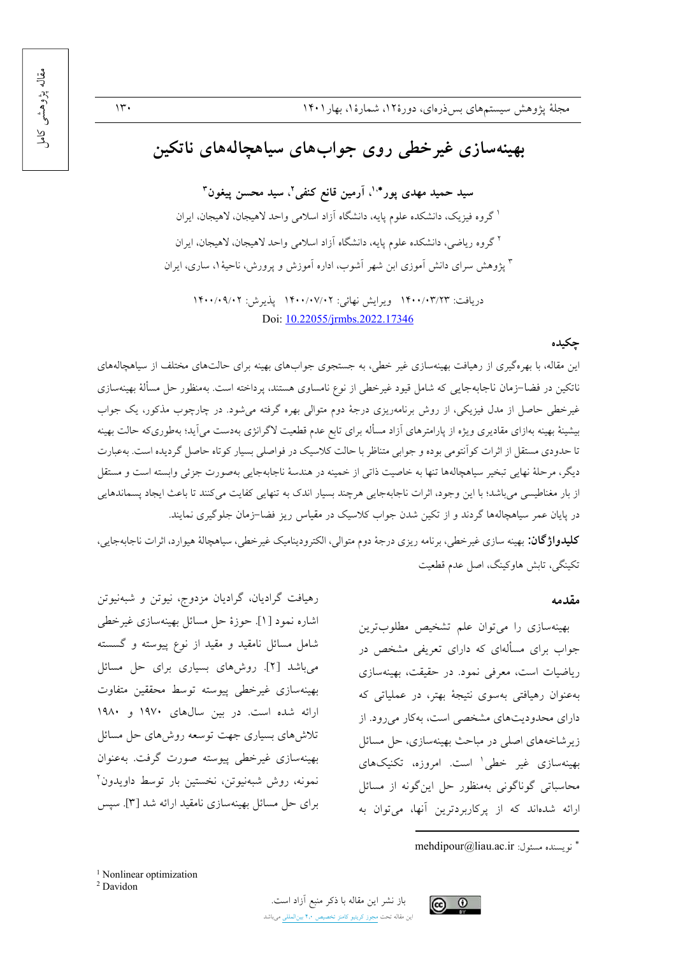#### $\mathcal{W}$

مقاله پڑوهشی کاما

# بهینهسازی غیرخطی روی جوابهای سیاهچالههای ناتکین

سيد حميد مهدي يور\*'، آرمين قانع كنفي'، سيد محسن پيغون" <sup>ا</sup> گروه فیزیک، دانشکده علوم پایه، دانشگاه آزاد اسلامی واحد لاهیجان، لاهیجان، ایران <sup>۲</sup>گروه ریاضی، دانشکده علوم یایه، دانشگاه آزاد اسلامی واحد لاهیجان، لاهیجان، ایران ۳ پژوهش سرای دانش آموزی ابن شهر آشوب، اداره آموزش و پرورش، ناحیهٔ ۱، ساری، ایران

دريافت: ١۴٠٠/٠٣/٢٣ ويرايش نهائي: ١۴٠٠/٠٧/٠٢ پذيرش: ١۴٠٠/٠٩/٠٢ Doi: 10.22055/jrmbs.2022.17346

### جكيده

این مقاله، با بهرهگیری از رهیافت بهینهسازی غیر خطی، به جستجوی جوابهای بهینه برای حالتهای مختلف از سیاهچالههای ناتکین در فضا–زمان ناجابهجایی که شامل قیود غیرخطی از نوع نامساوی هستند، پرداخته است. بهمنظور حل مسألهٔ بهینهسازی غیرخطی حاصل از مدل فیزیکی، از روش برنامهریزی درجهٔ دوم متوالی بهره گرفته میشود. در چارچوب مذکور، یک جواب بیشینهٔ بهینه بهازای مقادیری ویژه از پارامترهای آزاد مسأله برای تابع عدم قطعیت لاگرانژی بهدست میآید؛ بهطوریکه حالت بهینه تا حدودی مستقل از اثرات کوآنتومی بوده و جوابی متناظر با حالت کلاسیک در فواصلی بسیار کوتاه حاصل گردیده است. بهعبارت دیگر، مرحلهٔ نهایی تبخیر سیاهچالهها تنها به خاصیت ذاتی از خمینه در هندسهٔ ناجابهجایی بهصورت جزئی وابسته است و مستقل از بار مغناطیسی میباشد؛ با این وجود، اثرات ناجابهجایی هرچند بسیار اندک به تنهایی کفایت میکنند تا باعث ایجاد پسماندهایی در پایان عمر سیاهچالهها گردند و از تکین شدن جواب کلاسیک در مقیاس ریز فضا–زمان جلوگیری نمایند.

**کلیدواژگان:** بهینه سازی غیرخطی، برنامه ریزی درجهٔ دوم متوالی، الکترودینامیک غیرخطی، سیاهچالهٔ هیوارد، اثرات ناجابهجایی، تکننگی، تابش هاوکینگ، اصل عدم قطعیت

#### مقدمه

بهینهسازی را می توان علم تشخیص مطلوبترین جواب برای مسألهای که دارای تعریفی مشخص در ریاضیات است، معرفی نمود. در حقیقت، بهینهسازی بهعنوان رهیافتی بهسوی نتیجهٔ بهتر، در عملیاتی که دارای محدودیتهای مشخصی است، بهکار میرود. از زیر شاخههای اصلی در مباحث بهینهسازی، حل مسائل بهینهسازی غیر خطی' است. امروزه، تکنیکهای محاسباتي گوناگوني بهمنظور حل اين گونه از مسائل ارائه شدهاند که از پرکاربردترین آنها، می توان به

<sup>1</sup> Nonlinear optimization <sup>2</sup> Davidon

رهیافت گرادیان، گرادیان مزدوج، نیوتن و شبهنیوتن

اشاره نمود [۱]. حوزهٔ حل مسائل بهینهسازی غیرخطی

شامل مسائل نامقید و مقید از نوع پیوسته و گسسته

می باشد [۲]. روش های بسیاری برای حل مسائل

بهينهسازي غيرخطى پيوسته توسط محققين متفاوت

ارائه شده است. در بين سالهاى ١٩٧٠ و ١٩٨٠

تلاش های بسیاری جهت توسعه روش های حل مسائل

بهينهسازي غيرخطي پيوسته صورت گرفت. بهعنوان

نمونه، روش شبهنیوتن، نخستین بار توسط داویدون<sup>۲</sup>

برای حل مسائل بهینهسازی نامقید ارائه شد [۳]. سیس





mehdipour@liau.ac.ir : نو يسبنده مسئول: mehdipour@liau.ac.ir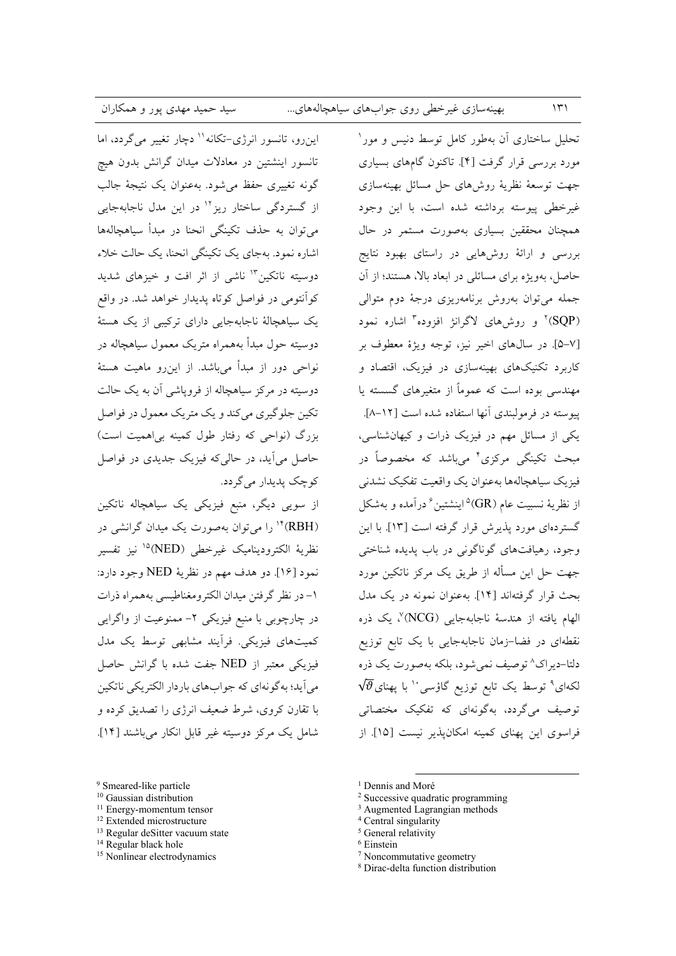این رو، تانسور انرژی-تکانه'' دچار تغییر می گردد، اما تانسور اینشتین در معادلات میدان گرانش بدون هیچ گونه تغییری حفظ می شود. بهعنوان یک نتیجهٔ جالب از گستردگی ساختار ریز<sup>۱۲</sup> در این مدل ناجابهجایی مي توان به حذف تكينگي انحنا در ميداً سياهچالهها اشاره نمود. بهجای یک تکینگی انحنا، یک حالت خلاء دوسیته ناتکین"' ناشی از اثر افت و خیزهای شدید کوانتومی در فواصل کوتاه پدیدار خواهد شد. در واقع یک سیاهچالهٔ ناجابهجایی دارای ترکیبی از یک هستهٔ دوسیته حول مبدأ بههمراه متریک معمول سیاهچاله در نواحی دور از مبدأ می باشد. از این رو ماهیت هستهٔ دوسیته در مرکز سیاهچاله از فروپاشی آن به یک حالت تکين جلو گيري مي کند و يک متر يک معمول در فواصل بزرگ (نواحی که رفتار طول کمینه بی اهمیت است) حاصل می آید، در حالیکه فیزیک جدیدی در فواصل کو چک پدیدار می گردد.

از سویی دیگر، منبع فیزیکی یک سیاهچاله ناتکین (RBH)<sup>۱۴</sup> را میتوان بهصورت یک میدان گرانشی در نظرية الكتروديناميك غيرخطي (NED)<sup>10</sup> نيز تفسير نمود [۱۶]. دو هدف مهم در نظريهٔ NED وجود دارد: ١- در نظر گرفتن میدان الکترومغناطیسی بههمراه ذرات در چارچوبی با منبع فیزیکی ۲- ممنوعیت از واگرایی کمیتهای فیزیکی. فرآیند مشابهی توسط یک مدل فیزیکی معتبر از NED جفت شده با گرانش حاصل مي آيد؛ به گونهاي كه جواب هاي باردار الكتريكي ناتكين با تقارن کروی، شرط ضعیف انرژی را تصدیق کرده و شامل یک مرکز دوسیته غیر قابل انکار میباشند [۱۴].

- <sup>9</sup> Smeared-like particle
- <sup>10</sup> Gaussian distribution
- $11$  Energy-momentum tensor
- <sup>12</sup> Extended microstructure
- <sup>13</sup> Regular deSitter vacuum state
- <sup>14</sup> Regular black hole
- <sup>15</sup> Nonlinear electrodynamics

تحلیل ساختاری آن بهطور کامل توسط دنیس و مور<sup>۱</sup> مورد بررسی قرار گرفت [۴]. تاکنون گامهای بسیاری جهت توسعهٔ نظریهٔ روشهای حل مسائل بهینهسازی غیرخطی پیوسته برداشته شده است، با این وجود همچنان محققین بسیاری بهصورت مستمر در حال بررسی و ارائهٔ روشهایی در راستای بهبود نتایج حاصل، بهویژه برای مسائلی در ابعاد بالا، هستند؛ از آن جمله می توان بهروش برنامهریزی درجهٔ دوم متوالی (SQP)<sup>۲</sup> و روشهای لاگرانژ افزوده<sup>۳</sup> اشاره نمود [٧–۵]. در سال های اخیر نیز، توجه ویژهٔ معطوف بر کاربرد تکنیکهای بهینهسازی در فیزیک، اقتصاد و مهندسی بوده است که عموماً از متغیرهای گسسته یا پیوسته در فرمولبندی آنها استفاده شده است [۱۲-۸]. یکی از مسائل مهم در فیزیک ذرات و کیهانشناسی، مبحث تکینگی مرکزی<sup>۴</sup> میµشد که مخصوصاً در فيزيك سياهجالهها بهعنوان يك واقعيت تفكيك نشدني از نظريهٔ نسبيت عام (GR)<sup>۵</sup>اينشتين<sup>۶</sup>درآمده و بهشكل گستردهای مورد پذیرش قرار گرفته است [۱۳]. با این وجود، رهيافتهاي گوناگوني در باب پديده شناختي جهت حل این مسأله از طریق یک مرکز ناتکین مورد بحث قرار گرفتهاند [۱۴]. بهعنوان نمونه در یک مدل الهام يافته از هندسهٔ ناجابهجايي (NCG) ٌ، يک ذره نقطهای در فضا-زمان ناجابهجایی با یک تابع توزیع دلتا-ديراک^ توصيف نمي شود، بلکه بهصورت يک ذره  $\sqrt{\vartheta}$ لکهای $^8$  توسط یک تابع توزیع گاؤسی با پهنای توصیف میگردد، بهگونهای که تفکیک مختصاتی فراسوی این پهنای کمینه امکان پذیر نیست [۱۵]. از

 $\mathcal{N}$ 

- <sup>1</sup> Dennis and Moré
- <sup>2</sup> Successive quadratic programming
- <sup>3</sup> Augmented Lagrangian methods
- <sup>4</sup> Central singularity
- <sup>5</sup> General relativity
- <sup>6</sup> Einstein
- <sup>7</sup> Noncommutative geometry
- <sup>8</sup> Dirac-delta function distribution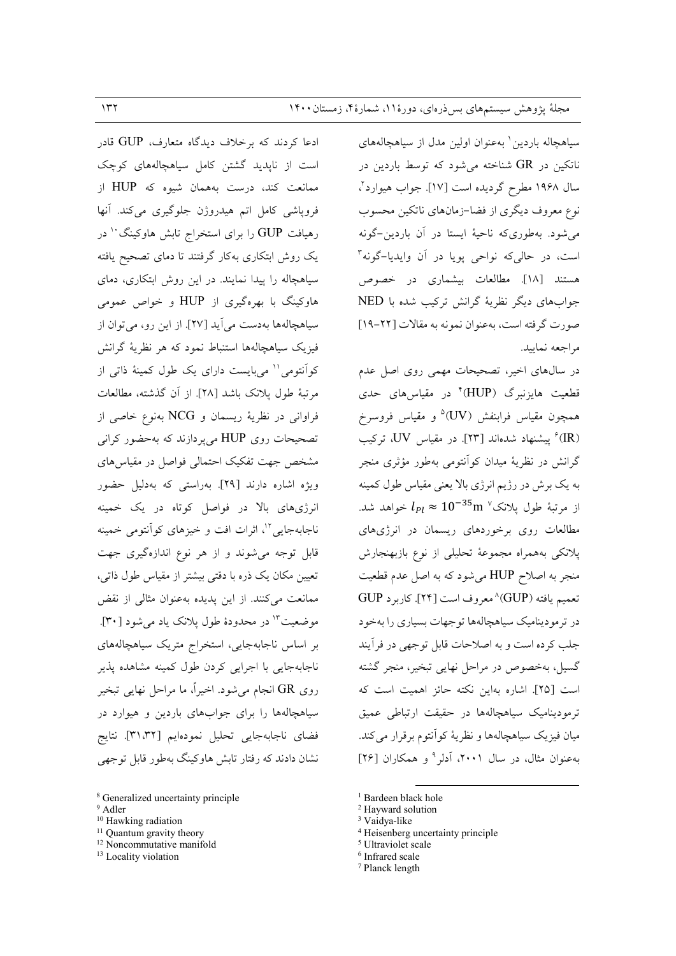سیاهچاله باردین ' بهعنوان اولین مدل از سیاهچالههای ناتکین در  $\rm{GR}$  شناخته میشود که توسط باردین در سال ۱۹۶۸ مطرح گردیده است [۱۷]. جواب هیوارد<sup>۲</sup>، نوع معروف دیگری از فضا–زمانهای ناتکین محسوب می شود. بهطوریکه ناحیهٔ ایستا در آن باردین-گونه است، در حالي كه نواحي يويا در آن وايديا-گونه<sup>۳</sup> هستند [۱۸]. مطالعات بیشماری در خصوص جوابهای دیگر نظریهٔ گرانش ترکیب شده با NED صورت گرفته است، به عنوان نمونه به مقالات [٢٢-١٩] مراجعه نماسد.

در سالهای اخیر، تصحیحات مهمی روی اصل عدم قطعیت هایزنبرگ (HUP)° در مقیاس های حدی همچون مقياس فرابنفش (UV)° و مقياس فروسرخ (IR) بیشنهاد شدهاند [۲۳]. در مقیاس UV، ترکیب گرانش در نظریهٔ میدان کوانتومی بهطور مؤثری منجر به یک برش در رژیم انرژی بالا یعنی مقیاس طول کمینه از مرتبهٔ طول پلانک $10^{-35}$ m از مرتبهٔ طول پلانک مطالعات روی برخوردهای ریسمان در انرژیهای يلانكي بههمراه مجموعهٔ تحليلي از نوع بازبهنجارش منجر به اصلاح HUP می شود که به اصل عدم قطعیت تعميم يافته (GUP)^معروف است [٢۴]. كاربر د GUP در ترمودینامیک سیاهچالهها توجهات بسیاری را بهخود جلب كرده است و به اصلاحات قابل توجهي در فرأيند گسیل، بهخصوص در مراحل نهایی تبخیر، منجر گشته است [٢٥]. اشاره بهاين نكته حائز اهميت است كه ترمودینامیک سیاهچالهها در حقیقت ارتباطی عمیق ميان فيزيک سياهچالهها و نظريهٔ كواّنتوم برقرار مي كند. بهعنوان مثال، در سال ۲۰۰۱، آدلر<sup>۹</sup> و همکاران [۲۶]

- <sup>2</sup> Hayward solution
- <sup>3</sup> Vaidya-like
- <sup>4</sup> Heisenberg uncertainty principle
- <sup>5</sup> Ultraviolet scale
- <sup>6</sup> Infrared scale
- <sup>7</sup> Planck length

ادعا کردند که برخلاف دیدگاه متعارف، GUP قادر است از ناپدید گشتن کامل سیاهچالههای کوچک ممانعت کند، درست بههمان شیوه که HUP از فرویاشی کامل اتم هیدروژن جلوگیری میکند. آنها رهیافت GUP را برای استخراج تابش هاوکینگ `` در یک روش ابتکاری بهکار گرفتند تا دمای تصحیح یافته سیاهچاله را پیدا نمایند. در این روش ابتکاری، دمای هاوکینگ با بهرهگیری از HUP و خواص عمومی سیاهچالهها بهدست می آید [۲۷]. از این رو، می توان از فیزیک سیاهچالهها استنباط نمود که هر نظریهٔ گرانش کوأنتومی'' میبایست دارای یک طول کمینهٔ ذاتی از مرتبهٔ طول پلانک باشد [۲۸]. از آن گذشته، مطالعات فراواني در نظريهٔ ريسمان و NCG بهنوع خاصي از تصحیحات روی HUP می پردازند که بهحضور کرانی مشخص جهت تفکیک احتمالی فواصل در مقیاس های ویژه اشاره دارند [۲۹]. بهراستی که بهدلیل حضور انرژیهای بالا در فواصل کوتاه در یک خمینه ناجابه جایی "، اثرات افت و خیزهای کوآنتومی خمینه قابل توجه می شوند و از هر نوع اندازهگیری جهت تعیین مکان یک ذره با دقتی بیشتر از مقیاس طول ذاتی، ممانعت می کنند. از این پدیده به عنوان مثالی از نقض موضعیت ۱۳ در محدودهٔ طول پلانک یاد میشود [۳۰]. بر اساس ناجابهجایی، استخراج متریک سیاهچالههای ناجابهجایی با اجرایی کردن طول کمینه مشاهده پذیر روي GR انجام مي شود. اخيراً، ما مراحل نهايي تبخير سیاهچالهها را برای جوابهای باردین و هیوارد در فضاي ناجابهجايي تحليل نمودهايم [٣١،٣٢]. نتايج نشان دادند که رفتار تابش هاوکینگ بهطور قابل توجهی

- <sup>10</sup> Hawking radiation
- <sup>11</sup> Quantum gravity theory <sup>12</sup> Noncommutative manifold
- <sup>13</sup> Locality violation

<sup>&</sup>lt;sup>1</sup> Bardeen black hole

<sup>&</sup>lt;sup>8</sup> Generalized uncertainty principle

<sup>&</sup>lt;sup>9</sup> Adler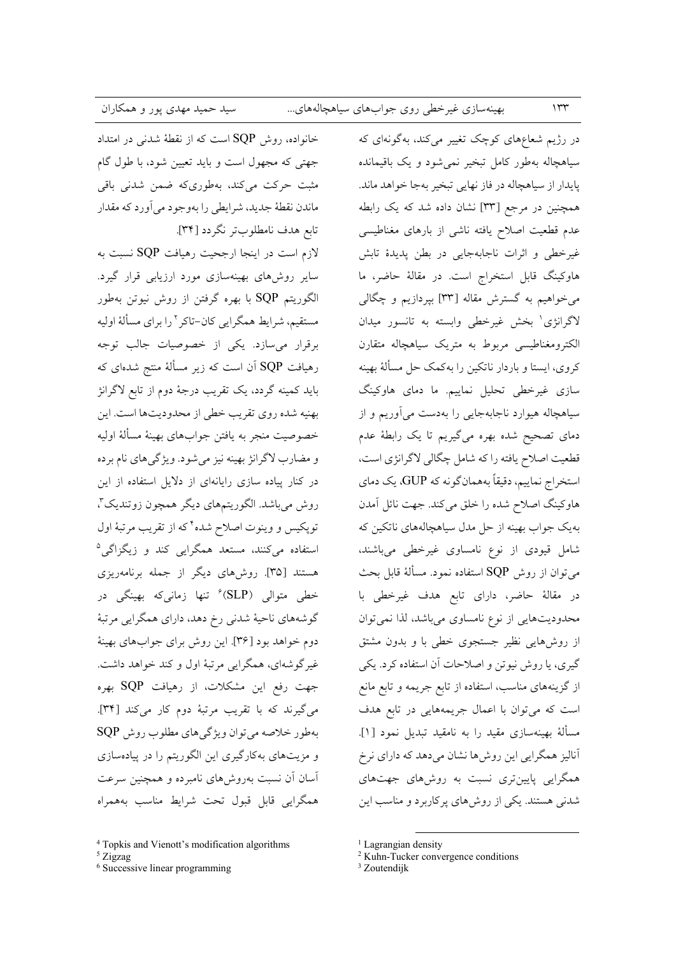خانواده، روش SQP است که از نقطهٔ شدنی در امتداد جهتی که مجهول است و باید تعیین شود، با طول گام مثبت حرکت میکند، بهطوریکه ضمن شدن<sub>ی</sub> باقی ماندن نقطهٔ جدید، شرایطی را بهوجود میآورد که مقدار تابع هدف نامطلوبتر نگردد [۳۴]. لازم است در اینجا ارجحیت رهیافت SQP نسبت به سایر روشهای بهینهسازی مورد ارزیابی قرار گیرد. الگوریتم SQP با بهره گرفتن از روش نیوتن بهطور مستقیم، شرایط همگرایی کان-تاکر ۲ را برای مسألهٔ اولیه برقرار می سازد. یکی از خصوصیات جالب توجه رهیافت SQP آن است که زیر مسألهٔ منتج شدهای که باید کمینه گردد، یک تقریب درجهٔ دوم از تابع لاگرانژ بهنيه شده روى تقريب خطى از محدوديتها است. اين خصوصيت منجر به يافتن جوابهاي بهينهٔ مسألهٔ اوليه و مضارب لاگرانژ بهینه نیز میشود. ویژگیهای نام برده در کنار ییاده سازی رایانهای از دلایل استفاده از این روش مي باشد. الگوريتمهاي ديگر همچون زوتنديک"، توپکیس و وینوت اصلاح شده ٔ که از تقریب مرتبهٔ اول استفاده میکنند، مستعد همگرایی کند و زیگزاگی<sup>۵</sup> هستند [۳۵]. روشهای دیگر از جمله برنامهریزی خطی متوالی (SLP<sup>)۶</sup> تنها زمانیکه بهینگی در گوشههای ناحیهٔ شدنی رخ دهد، دارای همگرایی مرتبهٔ دوم خواهد بود [۳۶]. این روش برای جوابهای بهینهٔ غیرگوشهای، همگرایی مرتبهٔ اول و کند خواهد داشت. جهت رفع این مشکلات، از رهیافت SQP بهره می گیرند که با تقریب مرتبهٔ دوم کار میکند [۳۴]. بهطور خلاصه مي توان ويژگي هاي مطلوب روش SQP و مزیتهای بهکارگیری این الگوریتم را در پیادهسازی آسان آن نسبت بهروشهای نامبرده و همچنین سرعت همگرایی قابل قبول تحت شرایط مناسب بههمراه

 $5 \mathrm{Zigzag}$ 

<sup>6</sup> Successive linear programming

در رژیم شعاعهای کوچک تغییر میکند، بهگونهای که سیاهچاله بهطور کامل تبخیر نمی شود و یک باقیمانده پايدار از سياهچاله در فاز نهايي تبخير بهجا خواهد ماند. همچنین در مرجع [۳۳] نشان داده شد که یک رابطه عدم قطعیت اصلاح یافته ناشی از بارهای مغناطیسی غیرخطی و اثرات ناجابهجایی در بطن پدیدهٔ تابش هاوکینگ قابل استخراج است. در مقالهٔ حاضر، ما می خواهیم به گسترش مقاله [۳۳] بپردازیم و چگالی لاگرانژی' بخش غیرخطی وابسته به تانسور میدان ۔<br>الکترومغناطیسی مربوط به متریک سیاهچاله متقارن کروی، ایستا و باردار ناتکین را بهکمک حل مسألهٔ بهینه سازی غیرخطی تحلیل نماییم. ما دمای هاوکینگ سیاهچاله هیوارد ناجابهجایی را بهدست میآوریم و از دمای تصحیح شده بهره میگیریم تا یک رابطهٔ عدم قطعیت اصلاح یافته را که شامل چگالی لاگرانژی است، استخراج نماییم، دقیقاً بههمانگونه که GUP، یک دمای هاوکینگ اصلاح شده را خلق میکند. جهت نائل آمدن بهیک جواب بهینه از حل مدل سیاهچالههای ناتکین که شامل قیودی از نوع نامساوی غیرخطی میباشند، می توان از روش SQP استفاده نمود. مسألهٔ قابل بحث در مقالهٔ حاضر، دارای تابع هدف غیرخطی با محدودیتهایی از نوع نامساوی میباشد، لذا نمی توان از روشهایی نظیر جستجوی خطی با و بدون مشتق گیری، یا روش نیوتن و اصلاحات آن استفاده کرد. یکی از گزینههای مناسب، استفاده از تابع جریمه و تابع مانع است که میتوان با اعمال جریمههایی در تابع هدف مسألة بهينهسازي مقيد را به نامقيد تبديل نمود [۱]. آنالیز همگرایی این روش ها نشان میدهد که دارای نرخ همگرایی پایینتری نسبت به روشهای جهتهای شدنی هستند. یکی از روش های پر کاربرد و مناسب این

 $114$ 

<sup>&</sup>lt;sup>4</sup> Topkis and Vienott's modification algorithms

<sup>&</sup>lt;sup>1</sup> Lagrangian density

<sup>&</sup>lt;sup>2</sup> Kuhn-Tucker convergence conditions

<sup>&</sup>lt;sup>3</sup> Zoutendijk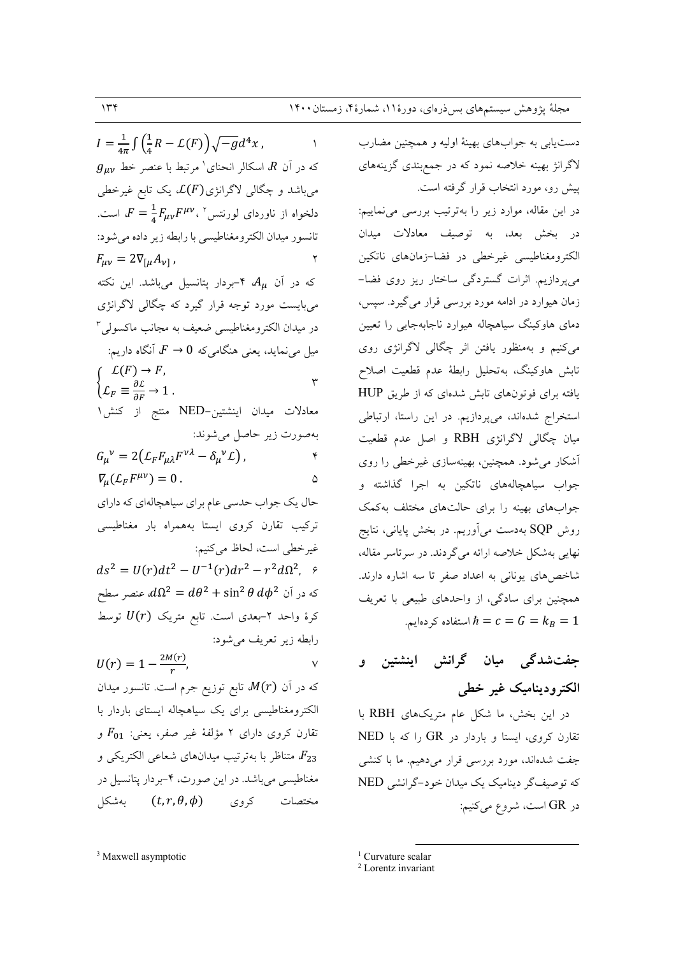$I = \frac{1}{4\pi} \int \left( \frac{1}{4} R - \mathcal{L}(F) \right) \sqrt{-g} d^4x$ ,  $g_{\mu\nu}$  که در آن  $R$ ، اسکالر انحنای ٔ مرتبط با عنصر خط میباشد و چگالی لاگرانژی $\mathcal{L}(F)$  یک تابع غیرخطی دلخواه از ناوردای لورنتس ۲ ،  $F = \frac{1}{\tau} F_{\mu\nu} F^{\mu\nu}$  است. تانسور ميدان الكترومغناطيسي با رابطه زير داده مي شود:  $F_{\mu\nu} = 2\nabla_{[\mu}A_{\nu]}$ ,  $\mathbf{r}$ که در آن  $A_{\mu}$  ۴-بردار پتانسیل میباشد. این نکته مي بايست مورد توجه قرار گيرد كه چگالي لاگرانژي در میدان الکترومغناطیسی ضعیف به مجانب ماکسولی ۳ میل می نماید، یعنی هنگامیکه  $F\rightarrow 0$  آنگاه داریم:  $\mathcal{L}(F) \rightarrow F$ ,  $\mathbf{r}$  $\left\{ \mathcal{L}_F \equiv \frac{\partial \mathcal{L}}{\partial F} \to 1 \right. .$ معادلات میدان اینشتین-NED منتج از کنش<sup>۱</sup> بهصورت زير حاصل مي شوند:  $G_{\mu}{}^{\nu} = 2(L_{F}F_{\mu\lambda}F^{\nu\lambda} - \delta_{\mu}{}^{\nu}\mathcal{L}),$  $\mathbf{r}$  $\nabla_{\mu}(\mathcal{L}_F F^{\mu\nu})=0.$  $\Delta$ حال یک جواب حدسی عام برای سیاهچالهای که دارای ترکیب تقارن کروی ایستا بههمراه بار مغناطیسی غيرخطي است، لحاظ مي كنيم:  $ds^{2} = U(r)dt^{2} - U^{-1}(r)dr^{2} - r^{2}d\Omega^{2}$ ,  $\varphi$  $d\Omega^2 = d\theta^2 + \sin^2\theta\, d\phi^2$  که در آن  $d\phi^2$  +  $d\theta^2$ کرهٔ واحد ۲-بعدی است. تابع متریک  $U(r)$  توسط رابطه زير تعريف مي شود:  $U(r) = 1 - \frac{2M(r)}{r},$  $\vee$ که در آن  $M(r)$  تابع توزیع جرم است. تانسور میدان الکترومغناطیسی برای یک سیاهچاله ایستای باردار با تقارن کروی دارای ۲ مؤلفهٔ غیر صفر، یعنی:  $F_{01}$  و متناظر با بهترتیب میدانهای شعاعی الکتریکی و  $F_{23}$ مغناطیسی میباشد. در این صورت، ۴-بردار پتانسیل در بهشکل ( $(t,r,\theta,\phi)$  بهشکل

<sup>3</sup> Maxwell asymptotic

دستیابی به جوابهای بهینهٔ اولیه و همچنین مضارب لاگرانژ بهینه خلاصه نمود که در جمعبندی گزینههای پیش رو، مورد انتخاب قرار گرفته است. در این مقاله، موارد زیر را بهترتیب بررسی می نماییم: در بخش بعد، به توصیف معادلات میدان الكترومغناطيسي غيرخطي در فضا-زمانهاي ناتكين می پردازیم. اثرات گستردگی ساختار ریز روی فضا– زمان هیوارد در ادامه مورد بررسی قرار می گیرد. سپس، دمای هاوکینگ سیاهچاله هیوارد ناجابهجایی را تعیین می کنیم و بهمنظور یافتن اثر چگالی لاگرانژی روی تابش هاوكينگ، بهتحليل رابطة عدم قطعيت اصلاح یافته برای فوتونهای تابش شدهای که از طریق HUP استخراج شدهاند، میپردازیم. در این راستا، ارتباطی میان چگالی لاگرانژی RBH و اصل عدم قطعیت آشکار میشود. همچنین، بهینهسازی غیرخطی را روی جواب سیاهچالههای ناتکین به اجرا گذاشته و جوابهای بهینه را برای حالتهای مختلف بهکمک روش SQP بهدست می آوریم. در بخش پایانی، نتایج نهايي بهشكل خلاصه ارائه مي گردند. در سرتاسر مقاله، شاخصهای یونانی به اعداد صفر تا سه اشاره دارند. همچنین برای سادگی، از واحدهای طبیعی با تعریف استفاده كردهايم.  $\hbar = c = G = k_B = 1$ 

# جفت شدگی میان گرانش اینشتین و الکترودینامیک غیر خطی

در این بخش، ما شکل عام متریکهای RBH با تقارن کروی، ایستا و باردار در GR را که با NED جفت شدهاند، مورد بررسی قرار میدهیم. ما با کنشی که توصیفگر دینامیک یک میدان خود-گرانشی NED در  $\rm GR$  است، شروع می کنیم:

<sup>&</sup>lt;sup>1</sup> Curvature scalar

<sup>&</sup>lt;sup>2</sup> Lorentz invariant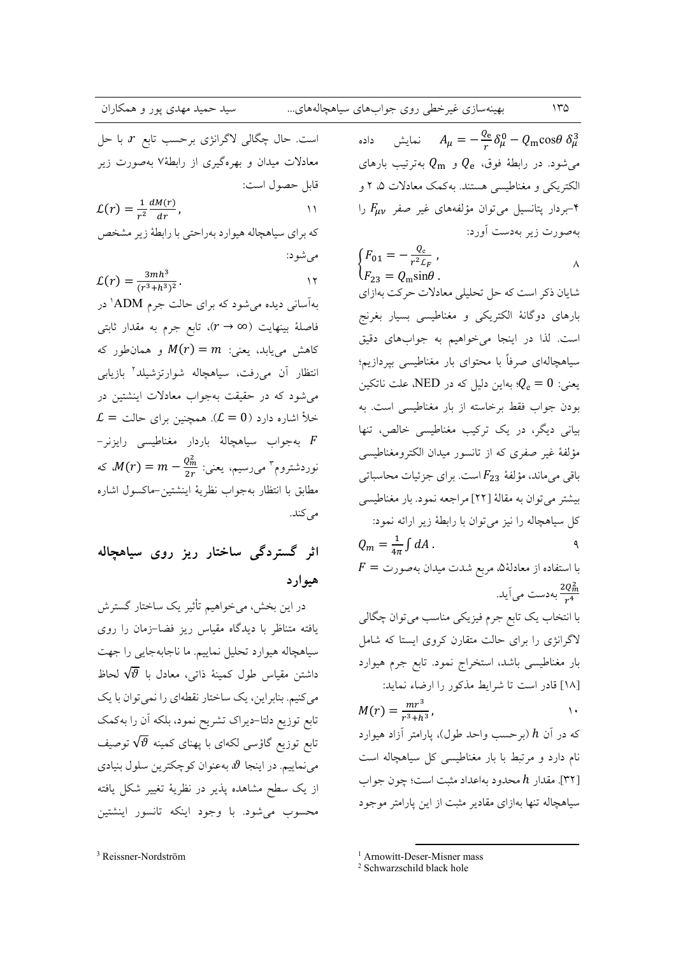بهینهسازی غیرخطی روی جوابهای سیاهچالههای...

است. حال چگالی لاگرانژی برحسب تابع  $r$  با حل معادلات میدان و بهرهگیری از رابطهٔ۷ بهصورت زیر قابل حصول است:  $\mathcal{L}(r) = \frac{1}{r^2} \frac{dM(r)}{dr},$  $\mathcal{U}$ که برای سیاهچاله هیوارد بهراحتی با رابطهٔ زیر مشخص مي شود:

$$
\mathcal{L}(r) = \frac{3mh^3}{(r^3 + h^3)^2}.
$$

بهآسانی دیده می شود که برای حالت جرم ADM' در فاصلهٔ بینهایت (n → ∞)، تابع جرم به مقدار ثابتی کاهش مییابد، یعنی:  $m = M(r) = M(r)$  و همان طور که انتظار آن میرفت، سیاهچاله شوارتزشیلد<sup>۲</sup> بازیابی میشود که در حقیقت بهجواب معادلات اینشتین در  $\mathcal{L} =$  خلأ اشاره دارد ( $\mathcal{L} = 0$ ). همچنین برای حالت - بەجواب سياھچالۀ باردار مغناطیسی رايزنر  $F$ نوردشتروم" میررسیم، یعنی:  $\frac{q_m^2}{r}$  = m  $M(r)=m-1$  که مطابق با انتظار بهجواب نظرية اينشتين-ماكسول اشاره مى كند.

## اثر گستردگی ساختار ریز روی سیاهچاله هيوارد

در این بخش، میخواهیم تأثیر یک ساختار گسترش یافته متناظر با دیدگاه مقیاس ریز فضا-زمان را روی سياهچاله هيوارد تحليل نماييم. ما ناجابهجايي را جهت داشتن مقياس طول كمينهٔ ذاتی، معادل با  $\sqrt{\vartheta}$  لحاظ میکنیم. بنابراین، یک ساختار نقطهای را نمیتوان با یک تابع توزیع دلتا-دیراک تشریح نمود، بلکه آن را بهکمک تابع توزیع گاؤسی لکهای با پهنای کمینه  $\sqrt{\vartheta}$  توصیف می نماییم. در اینجا 9، بهعنوان کوچکترین سلول بنیادی از یک سطح مشاهده پذیر در نظریهٔ تغییر شکل یافته محسوب مى شود. با وجود اينكه تانسور اينشتين

نمايش  $A_{\mu} = -\frac{Q_e}{g} \delta_{\mu}^0 - Q_m \cos \theta \ \delta_{\mu}^3$ داده میشود. در رابطهٔ فوق،  $Q_{\rm e}$  و  $Q_{\rm m}$  بهترتیب بارهای الکتریکی و مغناطیسی هستند. بهکمک معادلات ۵، ۲ و -بردار پتانسیل میتوان مؤلفههای غیر صفر  $F_{\mu\nu}$  را $F_{\mu\nu}$ پهصورت زیر پهدست آورد:

$$
\begin{cases}\nF_{01} = -\frac{Q_{\rm e}}{r^2 \mathcal{L}_F}, \\
F_{23} = Q_{\rm m} \sin \theta.\n\end{cases}
$$

شایان ذکر است که حل تحلیلی معادلات حرکت بهازای بارهای دوگانهٔ الکتریکی و مغناطیسی بسیار بغرنج است. لذا در اینجا می خواهیم به جوابهای دقیق سیاهچالهای صرفاً با محتوای بار مغناطیسی بپردازیم؛ یعنی:  $Q_{\rm e}=0$ ؛ بهاین دلیل که در NED، علت ناتکین بودن جواب فقط برخاسته از بار مغناطیسی است. به بیانی دیگر، در یک ترکیب مغناطیسی خالص، تنها مؤلفهٔ غیر صفری که از تانسور میدان الکترومغناطیسی باقی می ماند، مؤلفهٔ  $F_{23}$ است. برای جزئیات محاسباتی بيشتر مي توان به مقالة [٢٢] مراجعه نمود. بار مغناطيسي كل سياهچاله را نيز مي توان با رابطهٔ زير ارائه نمود:  $Q_m = \frac{1}{4\pi} \int dA$ .  $\mathsf{A}$  $\bar{F} = \bar{F}$ با استفاده از معادلهٔ ه، مربع شدت میدان بهصورت بەدست مى]َيد.  $\frac{2Q_m^2}{r^4}$ 

با انتخاب یک تابع جرم فیزیکی مناسب می توان چگالی لاگرانژی را برای حالت متقارن کروی ایستا که شامل بار مغناطیسی باشد، استخراج نمود. تابع جرم هیوارد [١٨] قادر است تا شرايط مذكور را ارضاء نمايد:

$$
M(r) = \frac{mr^2}{r^3 + h^3},
$$

که در آن h (برحسب واحد طول)، پارامتر آزاد هیوارد نام دارد و مرتبط با بار مغناطیسی کل سیاهچاله است [٣٢]. مقدار h محدود بهاعداد مثبت است؛ چون جواب سیاهچاله تنها بهازای مقادیر مثبت از این پارامتر موجود

<sup>1</sup> Arnowitt-Deser-Misner mass

<sup>2</sup> Schwarzschild black hole

<sup>&</sup>lt;sup>3</sup> Reissner-Nordström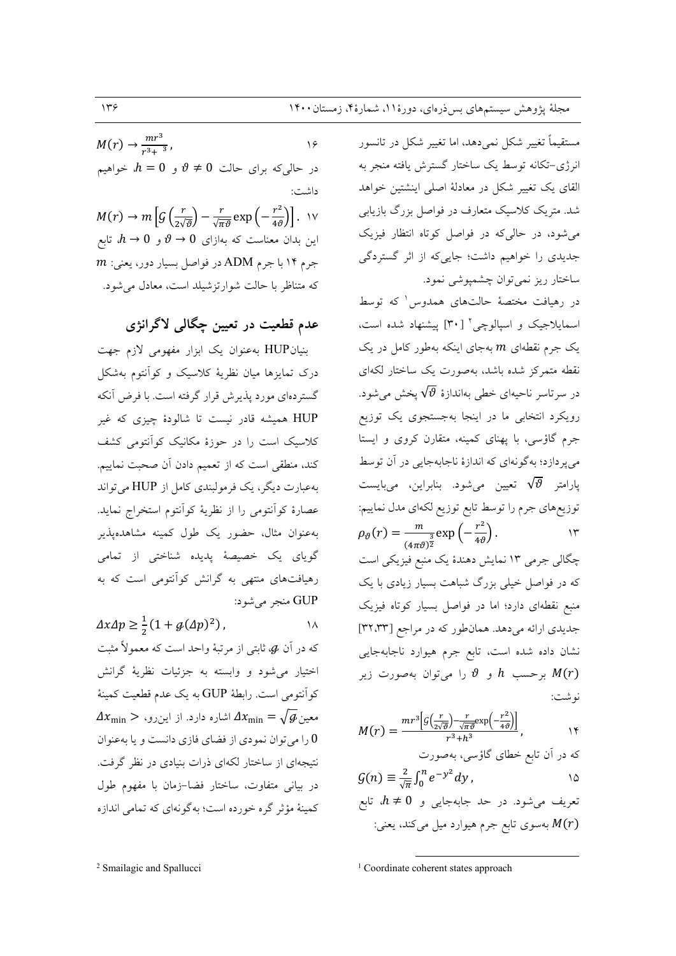مستقیماً تغییر شکل نمیٖدهد، اما تغییر شکل در تانسور انرژی-تکانه توسط یک ساختار گسترش یافته منجر به القای یک تغییر شکل در معادلهٔ اصلی اینشتین خواهد .<br>شد. متریک کلاسیک متعارف در فواصل بزرگ بازیابی می شود، در حالی که در فواصل کوتاه انتظار فیزیک جدیدی را خواهیم داشت؛ جاییکه از اثر گستردگی ساختار ريز نمي توان چشمپوشي نمود.

در رهیافت مختصهٔ حالتهای همدوس که توسط اسمایلاجیک و اسپالوچی۲ [۳۰] پیشنهاد شده است، یک جرم نقطهای  $m$  بهجای اینکه بهطور کامل در یک نقطه متمرکز شده باشد، بهصورت یک ساختار لکهای در سرتاسر ناحیهای خطی بهاندازهٔ  $\sqrt{\vartheta}$  پخش می شود. رویکرد انتخابی ما در اینجا بهجستجوی یک توزیع جرم گاؤسی، با پهنای کمینه، متقارن کروی و ایستا میپردازد؛ بهگونهای که اندازهٔ ناجابهجایی در آن توسط پارامتر  $\sqrt{\vartheta}$  تعیین میشود. بنابراین، میبایست توزیعهای جرم را توسط تابع توزیع لکهای مدل نماییم:  $\rho_{\vartheta}(r) = \frac{m}{(4\pi\vartheta)^{\frac{3}{2}}} \exp\left(-\frac{r^2}{4\vartheta}\right).$  $\gamma$ چگال<sub>ی</sub> جرمی ۱۳ نمایش دهندهٔ یک منبع فیزیکی است که در فواصل خیلی بزرگ شباهت بسیار زیادی با یک منبع نقطهای دارد؛ اما در فواصل بسیار کوتاه فیزیک جدیدی ارائه میدهد. همانطور که در مراجع [۳۲،۳۳] نشان داده شده است، تابع جرم هیوارد ناجابهجایی برحسب  $h$  و  $\vartheta$  را میتوان بهصورت زیر  $M(r)$ نو شت:

$$
M(r) = \frac{mr^3 \left[ g\left(\frac{r}{2\sqrt{\vartheta}}\right) - \frac{r}{\sqrt{\pi \vartheta}} \exp\left(-\frac{r^2}{4\vartheta}\right) \right]}{r^3 + h^3}, \qquad \forall
$$

$$
\mathcal{G}(n) \equiv \frac{2}{\sqrt{\pi}} \int_0^n e^{-y^2} dy
$$

تعریف می شود. در حد جابهجایی و  $h\neq 0$ ، تابع بهسوی تابع جرم هیوارد میل میکند، یعنی:  $M(r)$ 

 $M(r) \rightarrow \frac{mr^3}{r^3 + r^3}$  $\sqrt{2}$ در حالی که برای حالت  $\vartheta \neq 0$  و  $h=0$ ، خواهیم داشت:  $M(r) \rightarrow m \left[ \mathcal{G}\left(\frac{r}{2\sqrt{\theta}}\right) - \frac{r}{\sqrt{\pi \theta}} \exp\left(-\frac{r^2}{4\theta}\right) \right]$ . W این بدان معناست که بهازای  $\theta \to 0$  و  $h \to h$ ، تابع  $m$  جرم ۱۴ با جرم ADM در فواصل بسیار دور، یعنی: که متناظر با حالت شوارتزشیلد است، معادل می شود.

### عدم قطعیت در تعیین چگالی لاگرانژی

بنیانHUP بهعنوان یک ابزار مفهومی لازم جهت درک تمایزها میان نظریهٔ کلاسیک و کوانتوم بهشکل گستردهای مورد پذیرش قرار گرفته است. با فرض آنکه .<br>HUP همیشه قادر نیست تا شالودهٔ چیزی که غیر کلاسیک است را در حوزهٔ مکانیک کوانتومی کشف کند، منطقی است که از تعمیم دادن آن صحبت نماییم. بهعبارت دیگر، یک فرمولبندی کامل از HUP می تواند عصارهٔ کوانتومی را از نظریهٔ کوانتوم استخراج نماید. .<br>بهعنوان مثال، حضور یک طول کمینه مشاهدهپذیر گویای یک خصیصهٔ پدیده شناخت<sub>ی</sub> از تمامی رهیافتهای منتهی به گرانش کوآنتومی است که به GUP منجر مي شود:

 $\Delta x \Delta p \geq \frac{1}{2} (1 + g(\Delta p)^2)$ ,  $\lambda$ که در آن  $\boldsymbol{\phi}$ ، ثابتی از مرتبهٔ واحد است که معمولاً مثبت اختیار می شود و وابسته به جزئیات نظریهٔ گرانش كوانتومي است. رابطة GUP به يك عدم قطعيت كمينة  $\varDelta x_{\rm min} > 0$ معین $\sqrt{\smash[b]{g}}$  =  $\varDelta x_{\rm min} = \sqrt{\smash[b]{g}}$ 0 را می توان نمودی از فضای فازی دانست و یا به عنوان نتیجهای از ساختار لکهای ذرات بنیادی در نظر گرفت. در بیانی متفاوت، ساختار فضا–زمان با مفهوم طول کمینهٔ مؤثر گره خورده است؛ بهگونهای که تمامی اندازه

<sup>&</sup>lt;sup>1</sup> Coordinate coherent states approach

<sup>&</sup>lt;sup>2</sup> Smailagic and Spallucci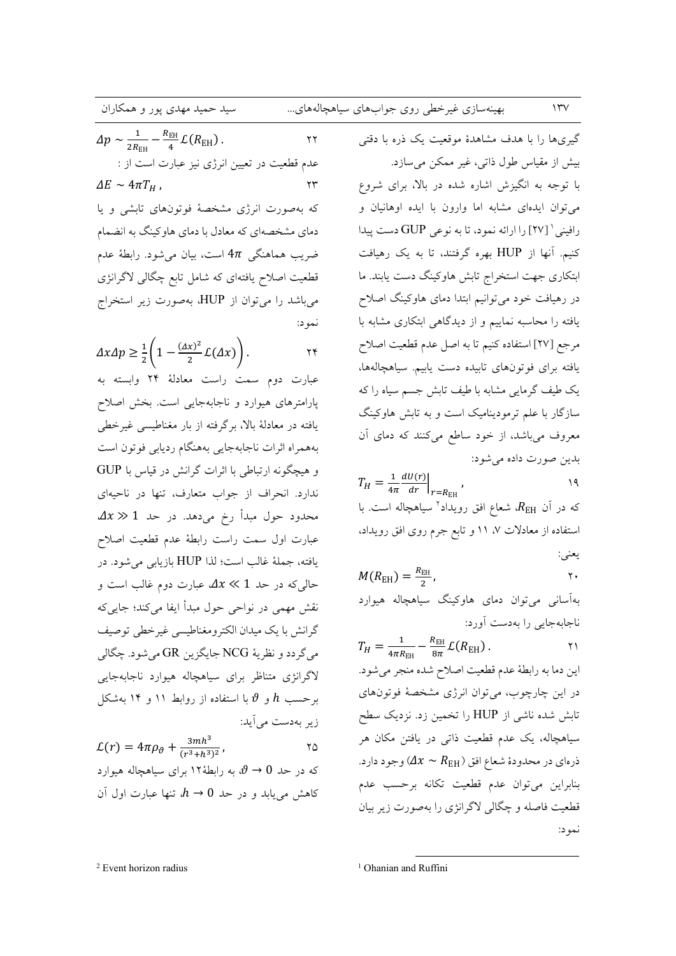#### بهینهسازی غیرخطی روی جوابهای سیاهچالههای...

لدهای...  
\n
$$
\Delta p \sim \frac{1}{2R_{\rm BH}} - \frac{R_{\rm EH}}{4} \mathcal{L}(R_{\rm EH})
$$
\n
$$
\Delta p \sim \frac{1}{2R_{\rm BH}} - \frac{R_{\rm EH}}{4} \mathcal{L}(R_{\rm EH})
$$
\n
$$
\Delta E \sim 4\pi T_H
$$
\n
$$
\Delta E \sim 4\pi T_H
$$
\n
$$
\Delta E \sim 4\pi T_H
$$
\n
$$
\Delta E \sim 4\pi T_H
$$
\n
$$
\Delta E \sim 4\pi T_H
$$
\n
$$
\Delta E \sim 4\pi T_H
$$
\n
$$
\Delta E \sim 4\pi T_H
$$
\n
$$
\Delta E \sim 4\pi T_H
$$
\n
$$
\Delta E \sim 4\pi T_H
$$
\n
$$
\Delta E \sim 4\pi T_H
$$
\n
$$
\Delta E \sim 4\pi T_H
$$
\n
$$
\Delta E \sim 4\pi T_H
$$
\n
$$
\Delta E \sim 4\pi T_H
$$
\n
$$
\Delta E \sim 4\pi T_H
$$
\n
$$
\Delta E \sim 4\pi T_H
$$
\n
$$
\Delta E \sim 4\pi T_H
$$
\n
$$
\Delta E \sim 4\pi T_H
$$
\n
$$
\Delta E \sim 4\pi T_H
$$
\n
$$
\Delta E \sim 4\pi T_H
$$
\n
$$
\Delta E \sim 4\pi T_H
$$
\n
$$
\Delta E \sim 4\pi T_H
$$
\n
$$
\Delta E \sim 4\pi T_H
$$
\n
$$
\Delta E \sim 4\pi T_H
$$
\n
$$
\Delta E \sim 4\pi T_H
$$
\n
$$
\Delta E \sim 4\pi T_H
$$
\n
$$
\Delta E \sim 4\pi T_H
$$
\n
$$
\Delta E \sim 4\pi T_H
$$
\n
$$
\Delta E \sim 4\pi T_H
$$
\n
$$
\Delta E \sim 4\pi T_H
$$
\n
$$
\Delta E \sim 4\pi T_H
$$
\n
$$
\Delta E \sim 4\pi T_H
$$
\n
$$
\Delta E \sim 4\pi T_H
$$
\n
$$
\Delta E \sim 4\
$$

$$
\Delta x \Delta p \geq \frac{1}{2} \left( 1 - \frac{(\Delta x)^2}{2} L(\Delta x) \right).
$$

عبارت دوم سمت راست معادلهٔ ۲۴ وابسته به پارامترهای هیوارد و ناجابهجایی است. بخش اصلاح یافته در معادلهٔ بالا، برگرفته از بار مغناطیسی غیرخطی بههمراه اثرات ناجابهجايي بههنگام رديابي فوتون است و هیچگونه ارتباطی با اثرات گرانش در قیاس با GUP ندارد. انحراف از جواب متعارف، تنها در ناحیهای  $\varDelta x \gg 1$  محدود حول مبدأ رخ می دهد. در حد عبارت اول سمت راست رابطهٔ عدم قطعیت اصلاح يافته، جملة غالب است؛ لذا HUP بازيابي مي شود. در حالی که در حد 1 $x \ll 1$  عبارت دوم غالب است و نقش مهمی در نواحی حول مبدأ ایفا می کند؛ جایی که گرانش با یک میدان الکترومغناطیسی غیرخطی توصیف مي گردد و نظريۀ NCG جايگزين GR مي شود. چگالي لاگرانژی متناظر برای سیاهچاله هیوارد ناجابهجایی برحست  $h$  و  $\vartheta$  با استفاده از روابط ۱۱ و ۱۴ بهشکل زير بەدست مى آيد:  $2mh^3$ 

$$
\mathcal{L}(r) = 4\pi \rho_{\vartheta} + \frac{3m\hbar^3}{(r^3 + \hbar^3)^2},
$$

گیریها را با هدف مشاهدهٔ موقعیت یک ذره با دقتی بیش از مقیاس طول ذاتی، غیر ممکن می سازد. با توجه به انگیزش اشاره شده در بالا، برای شروع می توان ایدهای مشابه اما وارون با ایده اوهانیان و رافيني ` [٢٧] را ارائه نمود، تا به نوعي GUP دست پيدا کنیم. آنها از HUP بهره گرفتند، تا به یک رهیافت ابتکاری جهت استخراج تابش هاوکینگ دست یابند. ما در رهیافت خود می توانیم ابتدا دمای هاوکینگ اصلاح یافته را محاسبه نماییم و از دیدگاهی ابتکاری مشابه با مرجع [٢٧] استفاده كنيم تا به اصل عدم قطعيت اصلاح یافته برای فوتونهای تابیده دست یابیم. سیاهچالهها، یک طیف گرمایی مشابه با طیف تابش جسم سیاه را که سازگار با علم ترمودینامیک است و به تابش هاوکینگ معروف میباشد، از خود ساطع میکنند که دمای آن بدين صورت داده مي شود:

$$
T_H = \frac{1}{4\pi} \frac{dU(r)}{dr} \bigg|_{r=R_{\rm EH}},
$$

که در آن  $R_{\rm EH}$ ، شعاع افق رویداد<sup>۲</sup> سیاهچاله است. با استفاده از معادلات ۷، ۱۱ و تابع جرم روی افق رویداد، يعني:

$$
M(R_{\rm EH}) = \frac{R_{\rm EH}}{2}, \qquad \qquad \gamma.
$$

بهآسانی می توان دمای هاوکینگ سیاهچاله هیوارد ناجابهجایی را بهدست آورد:

 $T_H = \frac{1}{4\pi R_{\text{EH}}} - \frac{R_{\text{EH}}}{8\pi} \mathcal{L}(R_{\text{EH}})$ .  $\gamma$ اين دما به رابطة عدم قطعيت اصلاح شده منجر مي شود. در این چارچوب، میتوان انرژی مشخصهٔ فوتونهای تابش شده ناشی از HUP را تخمین زد. نزدیک سطح سیاهچاله، یک عدم قطعیت ذاتی در یافتن مکان هر ذرهاي در محدودهٔ شعاع افق ( $\Delta x \thicksim R_{\rm EH}$ ) وجود دارد. بنابراين مى توان عدم قطعيت تكانه برحسب عدم قطعیت فاصله و چگالی لاگرانژی را بهصورت زیر بیان

<sup>2</sup> Event horizon radius

 $\gamma$ 

<sup>&</sup>lt;sup>1</sup> Ohanian and Ruffini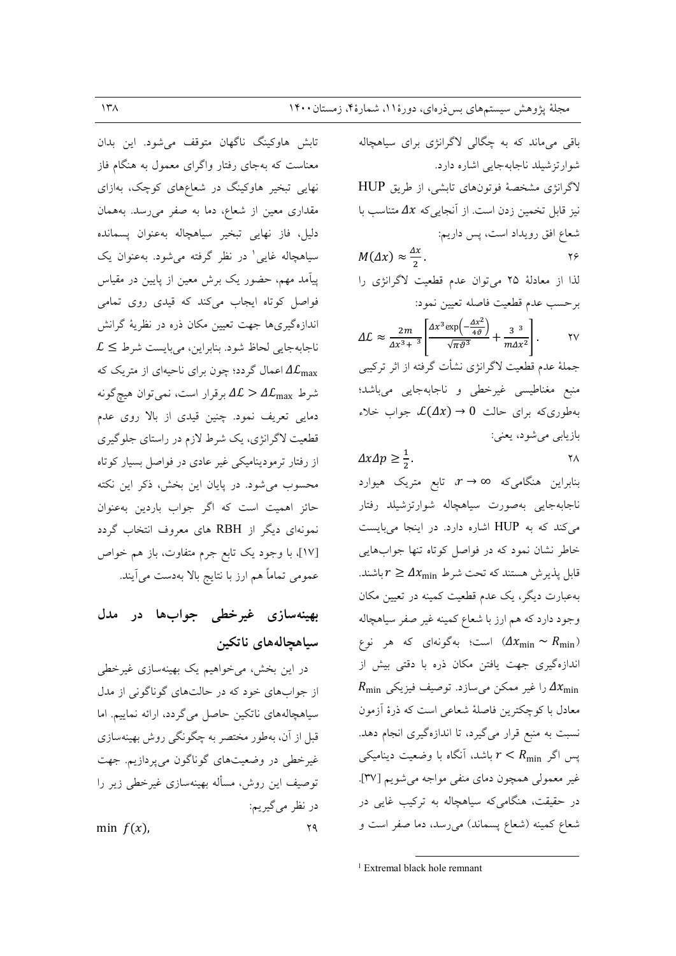تابش هاوكينگ ناگهان متوقف مي شود. اين بدان معناست که بهجای رفتار واگرای معمول به هنگام فاز نهایی تبخیر هاوکینگ در شعاعهای کوچک، بهازای مقداری معین از شعاع، دما به صفر میرسد. بههمان دلیل، فاز نهایی تبخیر سیاهچاله بهعنوان پسمانده سیاهچاله غایی' در نظر گرفته میشود. بهعنوان یک پیآمد مهم، حضور یک برش معین از پایین در مقیاس فواصل کوتاه ایجاب میکند که قیدی روی تمامی اندازهگیریها جهت تعیین مکان ذره در نظریهٔ گرانش  $\mathcal{L} \leq \mathcal{L}$ ناجابهجایی لحاظ شود. بنابراین، میبایست شرط اعمال گردد؛ چون برای ناحیهای از متریک که A $\mathcal{L}_{\max}$ شرط  $\Delta {\cal L}_{\rm max}$  جرقرار است، نمی توان هیچگونه دمایی تعریف نمود. چنین قیدی از بالا روی عدم قطعیت لاگرانژی، یک شرط لازم در راستای جلوگیری از رفتار ترمودینامیکی غیر عادی در فواصل بسیار کوتاه محسوب می شود. در پایان این بخش، ذکر این نکته حائز اهمیت است که اگر جواب باردین بهعنوان نمونهای دیگر از RBH های معروف انتخاب گردد [۱۷]، با وجود یک تابع جرم متفاوت، باز هم خواص عمومی تماماً هم ارز با نتایج بالا بهدست میآیند.

## بهینهسازی غیرخطی جوابها در مدل سياهجالەهاي ناتكين

در این بخش، میخواهیم یک بهینهسازی غیرخطی از جوابهای خود که در حالتهای گوناگونی از مدل سیاهچالههای ناتکین حاصل میگردد، ارائه نماییم. اما قبل از آن، بهطور مختصر به چگونگی روش بهینهسازی غیرخطی در وضعیتهای گوناگون میپردازیم. جهت توصیف این روش، مسأله بهینهسازی غیرخطی زیر را در نظر می گیریم:  $YQ$ min  $f(x)$ .

باقی می ماند که به چگالی لاگرانژی برای سیاهچاله شوارتزشیلد ناجابهجایی اشاره دارد. لاگرانژی مشخصهٔ فوتونهای تابشی، از طریق HUP نیز قابل تخمین زدن است. از آنجایی که  $\Lambda x$  متناسب با شعاع افق رويداد است، پس داريم:  $M(\Delta x) \approx \frac{\Delta x}{2}$ .  $\forall \in$ لذا از معادلة ٢٥ مي توان عدم قطعيت لاگرانژي را برحسب عدم قطعيت فاصله تعيين نمود:  $\Delta \mathcal{L} \approx \frac{2m}{\Delta x^3 + ^3} \left[ \frac{\Delta x^3 \exp \left( - \frac{\Delta x^2}{4 \vartheta} \right)}{\sqrt{\pi \vartheta^3}} + \frac{3^{3}}{m \Delta x^2} \right]$  $\mathsf{Y}\mathsf{V}$ جملهٔ عدم قطعیت لاگرانژی نشأت گرفته از اثر ترکیبی منبع مغناطیسی غیرخطی و ناجابهجایی میباشد؛ بهطوریکه برای حالت  $\mathcal{L}(\Delta x) \to \mathcal{L}(\Delta x)$  جواب خلاء بازيابي مي شود، يعني:

 $\Delta x \Delta p \geq \frac{1}{2}$ .  $\mathsf{Y}\Lambda$ 

بنابراین هنگامیکه  $\alpha \rightarrow r$  تابع متریک هیوارد ناجابهجايي بهصورت سياهچاله شوارتزشيلد رفتار میکند که به HUP اشاره دارد. در اینجا میبایست خاطر نشان نمود که در فواصل کوتاه تنها جوابهایی قابل پذیرش هستند که تحت شرط  $\Delta x_{\min} \geq \Delta x$ باشند. بهعبارت دیگر، یک عدم قطعیت کمینه در تعیین مکان وجود دارد که هم ارز با شعاع کمینه غیر صفر سیاهچاله است؛ بهگونهای که هر نوع ( $\Delta x_{\rm min} \sim R_{\rm min}$ ) اندازهگیری جهت یافتن مکان ذره با دقتی بیش از  $R_{\min}$  را غیر ممکن می سازد. توصیف فیزیکی  $\Delta x_{\min}$ معادل با کوچکترین فاصلهٔ شعاعی است که ذرهٔ آزمون نسبت به منبع قرار میگیرد، تا اندازهگیری انجام دهد. پس اگر  $r < R_{\min}$  باشد، آنگاه با وضعیت دینامیکی غیر معمولی همچون دمای منفی مواجه میشویم [۳۷]. در حقیقت، هنگامی که سیاهچاله به ترکیب غایی در شعاع كمينه (شعاع پسماند) مىرسد، دما صفر است و

<sup>1</sup> Extremal black hole remnant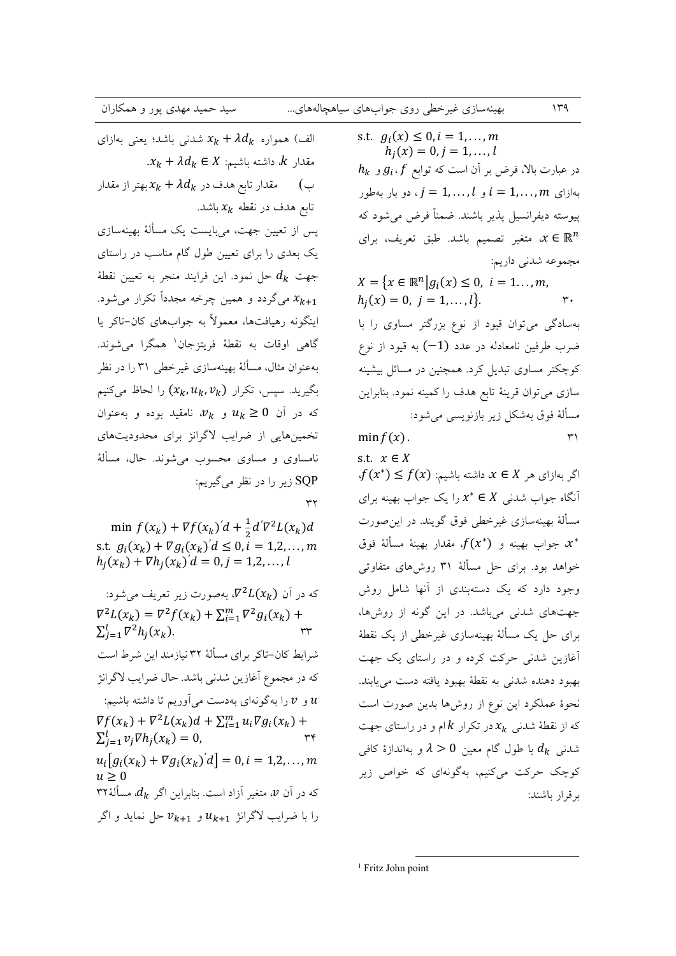| بهينهسازي غيرخطي روي جوابهاي سياهچالههاي |  |  |
|------------------------------------------|--|--|
|                                          |  |  |

s.t.

الف) همواره  $\lambda d_k + \lambda d_k + x_k$  شدنی باشد؛ یعنی بهازای  $x_k + \lambda d_k \in X$  مقدار  $k$ ، داشته باشیم:  $k$ مقدار تابع هدف در  $\lambda d_k + x_k$  بهتر از مقدار ب) تابع هدف در نقطه  $x_k$  باشد. یس از تعیین جهت، میبایست یک مسألهٔ بهینهسازی یک بعدی را برای تعیین طول گام مناسب در راستای جهت  $d_k$  حل نمود. این فرایند منجر به تعیین نقطهٔ میگردد و همین چرخه مجدداً تکرار میشود.  $x_{k+1}$ اینگونه رهیافتها، معمولاً به جوابهای کان-تاکر یا گاهی اوقات به نقطهٔ فریتزجان<sup>۱</sup> همگرا می شوند. بهعنوان مثال، مسألهٔ بهینهسازی غیرخطی ۳۱ را در نظر بگیرید. سیس، تکرار  $(x_k, u_k, v_k)$  را لحاظ میکنیم که در آن  $u_k \geq u_k$  و  $v_k$ ، نامقید بوده و بهعنوان تخمینهایی از ضرایب لاگرانژ برای محدودیتهای نامساوي و مساوي محسوب مي شوند. حال، مسألهٔ SQP زير را در نظر مي گيريم:  $\tau\tau$ min  $f(x_k) + \nabla f(x_k)'d + \frac{1}{2}d'\nabla^2 L(x_k)d$ s.t.  $g_i(x_k) + \nabla g_i(x_k)' d \leq 0, i = 1, 2, ..., m$  $h_i(x_k) + \nabla h_i(x_k)' d = 0, j = 1,2,...,l$ 

که در آن  $\nabla^2 L(x_k)$ ، بهصورت زیر تعریف می شود:  $\nabla^2 L(x_k) = \nabla^2 f(x_k) + \sum_{i=1}^m \nabla^2 g_i(x_k) +$  $\sum_{i=1}^l \nabla^2 h_i(x_k).$ شرايط كان-تاكر براي مسألهٔ ۳۲ نيازمند اين شرط است كه در مجموع أغازين شدني باشد. حال ضرايب لاگرانژ و  $v$  را بهگونهای بهدست میآوریم تا داشته باشیم:  $u$  $\nabla f(x_k) + \nabla^2 L(x_k) d + \sum_{i=1}^m u_i \nabla g_i(x_k) +$  $\sum_{i=1}^{l} v_i \nabla h_i(x_k) = 0,$  $u_i[g_i(x_k) + \nabla g_i(x_k) d] = 0, i = 1,2,...,m$  $u > 0$ که در آن  $v$ ، متغیر آزاد است. بنابراین اگر  $d_k$ ، مسألهٔ ۳۲ را با ضرایب لاگرانژ  $u_{k+1}$  و  $v_{k+1}$  حل نماید و اگر s.t.  $g_i(x) \le 0, i = 1, ..., m$  $h_i(x) = 0, j = 1, \ldots, l$  $h_k$  در عبارت بالا، فرض بر آن است که توابع  $g_i$ و  $g_i$ بهازای  $i = 1, ..., n$  و  $i = 1, ..., m$ . دو بار بهطور پیوسته دیفرانسیل پذیر باشند. ضمناً فرض می شود که ، متغیر تصمیم باشد. طبق تعریف، برای  $x \in \mathbb{R}^n$ مجموعه شدني داريم:

 $149$ 

 $X = \{x \in \mathbb{R}^n | g_i(x) \leq 0, i = 1... , m,$  $h_i(x) = 0, j = 1, ..., l$ .  $\mathbf{r}$ . بهسادگی میتوان قیود از نوع بزرگتر مساوی را با ضرب طرفین نامعادله در عدد (1–) به قیود از نوع

کوچکتر مساوی تبدیل کرد. همچنین در مسائل بیشینه سازی می توان قرینهٔ تابع هدف را کمینه نمود. بنابراین مسألهٔ فوق بهشکل زیر بازنویسی میشود:  $min f(x)$  $\mathsf{r}'$ 

$$
f(x).
$$
  

$$
x \in X
$$

 $f(x^*) \leq f(x)$  اگر بهازای هر  $x \in X$  داشته باشیم: آنگاه جواب شدنبی  $x^*\in X$  را یک جواب بهینه برای مسألهٔ بهینهسازی غیرخطی فوق گویند. در این صورت جواب بهينه و  $f(x^*)$ ، مقدار بهينهٔ مسألهٔ فوق،  $x^*$ خواهد بود. برای حل مسألهٔ ۳۱ روشهای متفاوتی وجود دارد که یک دستهبندی از آنها شامل روش جهتهای شدنی میباشد. در این گونه از روشها، برای حل یک مسألهٔ بهینهسازی غیرخطی از یک نقطهٔ آغازین شدنی حرکت کرده و در راستای یک جهت بهبود دهنده شدنی به نقطهٔ بهبود یافته دست می یابند. نحوهٔ عملکرد این نوع از روشها بدین صورت است که از نقطهٔ شدنی  $x_k$  در تکرار  $k$ ام و در راستای جهت شدنبی  $d_k$  با طول گام معین  $0 > 0$  و بهاندازهٔ کافی کوچک حرکت میکنیم، بهگونهای که خواص زیر بر قرار باشند:

<sup>1</sup> Fritz John point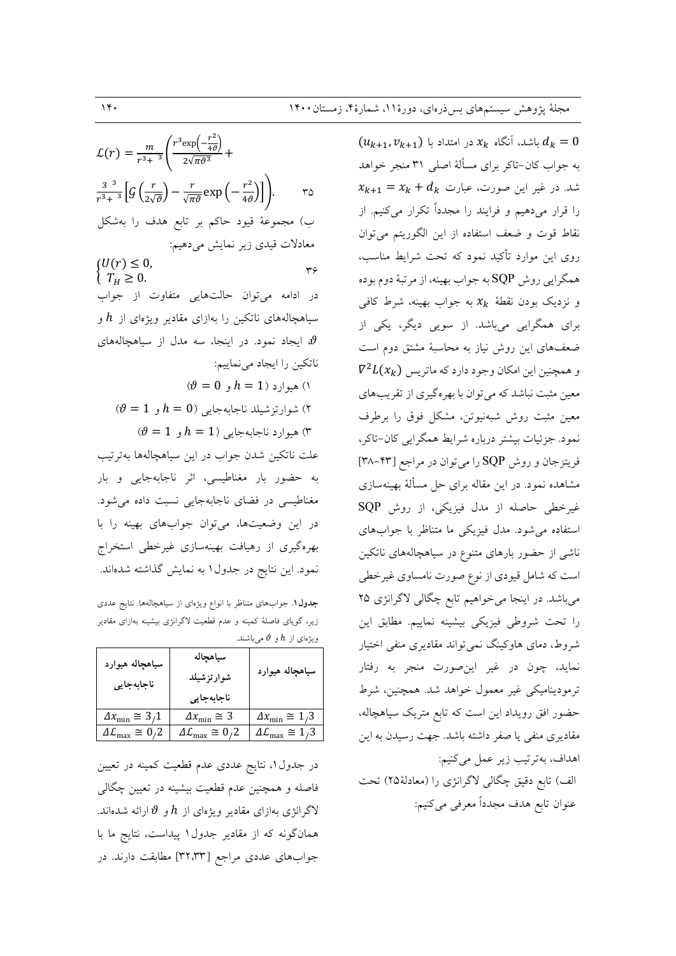$\mathcal{L}(r) = \frac{m}{r^3 + 3} \left( \frac{r^3 \exp\left(-\frac{r^2}{4\vartheta}\right)}{2\sqrt{\pi \vartheta^3}} + \right)$  $\frac{3^{3}}{r^{3}+^{3}}\Big[G\left(\frac{r}{2\sqrt{\vartheta}}\right)-\frac{r}{\sqrt{\pi\vartheta}}\exp\left(-\frac{r^{2}}{4\vartheta}\right)\Big]\Bigg).$  $r_0$ ب) مجموعهٔ قیود حاکم بر تابع هدف را بهشکل معادلات قیدی زیر نمایش میدهیم:  $(U(r) \leq 0,$  $r\epsilon$  $T_H \geq 0$ . در ادامه میتوان حالتهایی متفاوت از جواب سیاهچالههای ناتکین را بهازای مقادیر ویژهای از  $h$  و وایجاد نمود. در اینجا، سه مدل از سیاهچالههای  $\vartheta$ ناتكين را ايجاد مي نماييم:  $\theta = 0$  هیوارد (1 $h = 1$ و (1  $\vartheta = 1$  ) شوارتزشيلد ناجابهجايي ( $h=0$  و  $\theta = 1$  هيوارد ناجابهجايي ( $h = 1$  و  $\theta = 0$ علت ناتکين شدن جواب در اين سياهچالهها بهترتيب به حضور بار مغناطیسی، اثر ناجابهجایی و بار مغناطیسی در فضای ناجابهجایی نسبت داده می شود. در این وضعیتها، میتوان جوابهای بهینه را با بهرهگیری از رهیافت بهینهسازی غیرخطی استخراج نمود. این نتایج در جدول ۱ به نمایش گذاشته شدهاند.

جدول ۱. جوابهای متناظر با انواع ویژهای از سیاهچالهها. نتایج عددی زیر، گویای فاصلهٔ کمینه و عدم قطعیت لاگرانژی بیشینه بهازای مقادیر ویژهای از  $h$  و  $\theta$  میباشند.

| سياهچاله هيوارد<br>ناجابهجايي | سياهچاله<br>شوارتزشيلد       | سياهچاله هيوارد                |
|-------------------------------|------------------------------|--------------------------------|
|                               | ناجابهجايي                   |                                |
| $\Delta x_{\min} \cong 3.1$   | $\Delta x_{\rm min} \cong 3$ | $\Delta x_{\rm min} \cong 1.3$ |
| $_{\rm v} \cong 0.2$          | $\approx 0.2$                | $\cong$ 1/3                    |

در جدول ۱، نتایج عددی عدم قطعیت کمینه در تعیین فاصله و همچنین عدم قطعیت بیشینه در تعیین چگالی لاگرانژی بهازای مقادیر ویژهای از  $h$  و  $\theta$  ارائه شدهاند. همانگونه که از مقادیر جدول ۱ پیداست، نتایج ما با جوابهای عددی مراجع [۳۲،۳۳] مطابقت دارند. در

 $(u_{k+1}, v_{k+1})$  باشد، آنگاه  $x_k$  در امتداد با  $d_k = 0$ به جواب كان-تاكر براي مسألة اصلى ٣١ منجر خواهد  $x_{k+1} = x_k + d_k$  شد. در غیر این صورت، عبارت را قرار میدهیم و فرایند را مجدداً تکرار میکنیم. از نقاط قوت و ضعف استفاده از این الگوریتم میتوان روی این موارد تأکید نمود که تحت شرایط مناسب، همگرایی روش SQP به جواب بهینه، از مرتبهٔ دوم بوده و نزدیک بودن نقطهٔ  $x_k$  به جواب بهینه، شرط کافی برای همگرایی میباشد. از سویی دیگر، یکی از ضعفهای این روش نیاز به محاسبهٔ مشتق دوم است  $\nabla^2 L(x_k)$  و همچنین این امکان وجود دارد که ماتریس معین مثبت نباشد که می توان با بهرهگیری از تقریبهای معین مثبت روش شبهنیوتن، مشکل فوق را برطرف نمود. جزئیات بیشتر درباره شرایط همگرایی کان-تاکر، فريتزجان و روش SQP را مي توان در مراجع [٣٣-٣٨] مشاهده نمود. در این مقاله برای حل مسألهٔ بهینهسازی غیرخطی حاصله از مدل فیزیکی، از روش SQP استفاده می شود. مدل فیزیکی ما متناظر با جوابهای ناشی از حضور بارهای متنوع در سیاهچالههای ناتکین است که شامل قیودی از نوع صورت نامساوی غیرخطی میباشد. در اینجا میخواهیم تابع چگالی لاگرانژی ۲۵ را تحت شروطي فيزيكي بيشينه نماييم. مطابق اين شروط، دمای هاوکینگ نمیتواند مقادیری منفی اختیار نماید، چون در غیر اینصورت منجر به رفتار ترمودینامیکی غیر معمول خواهد شد. همچنین، شرط حضور افق رویداد این است که تابع متریک سیاهچاله، مقادیری منفی یا صفر داشته باشد. جهت رسیدن به این اهداف، بهترتيب زير عمل مي كنيم: الف) تابع دقیق چگالی لاگرانژی را (معادلهٔ۲۵) تحت عنوان تابع هدف مجدداً معرفي مي كنيم: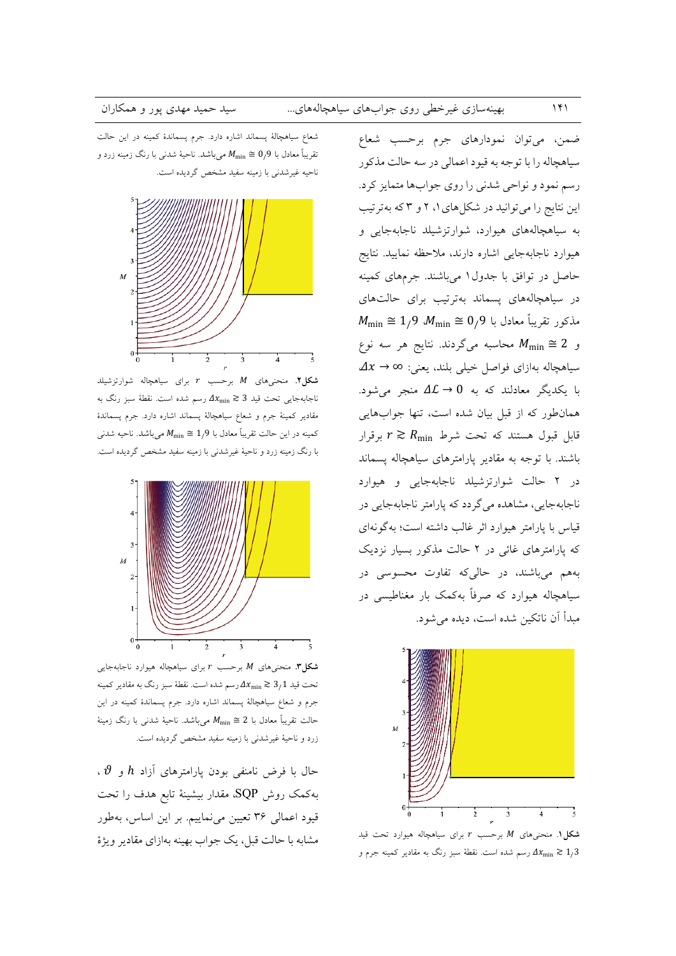شعاع سیاهچالهٔ پسماند اشاره دارد. جرم پسماندهٔ کمینه در این حالت تقریباً معادل با 9<sub>/</sub>9  $M_{\rm min} \cong 0$  میباشد. ناحیهٔ شدنی با رنگ زمینه زرد و ناحیه غیرشدنی با زمینه سفید مشخص گردیده است.



شکل ۲. منحنی های  $M$  برحسب  $r$  برای سیاهچاله شوارتزشیلد ناجابهجایی تحت قید 3 $x_{\rm min} \gtrsim 2$  رسم شده است. نقطهٔ سبز رنگ به مقادیر کمینهٔ جرم و شعاع سیاهچالهٔ پسماند اشاره دارد. جرم پسماندهٔ کمینه در این حالت تقریباً معادل با 1٫9  $M_{\rm min} \cong M_{\rm min}$  میباشد. ناحیه شدنی با رنگ زمینه زرد و ناحیهٔ غیرشدنی با زمینه سفید مشخص گردیده است.



شکل". منحنیهای M برحسب r برای سیاهچاله هیوارد ناجابهجایی تحت قید  $\lambda_{\min}\gtrsim 2$  رسم شده است. نقطهٔ سبز رنگ به مقادیر کمینه جرم و شعاع سیاهچالهٔ پسماند اشاره دارد. جرم پسماندهٔ کمینه در این حالت تقريباً معادل با 2 $2 \leq M_{\rm min} \cong 1$  مىباشد. ناحيهٔ شدنى با رنگ زمينهٔ زرد و ناحیهٔ غیرشدنی با زمینه سفید مشخص گردیده است.

حال با فرض نامنفی بودن پارامترهای آزاد  $h$  و  $\vartheta$  ، بهکمک روش SQP، مقدار بیشینهٔ تابع هدف را تحت قیود اعمالی ۳۶ تعیین می نماییم. بر این اساس، بهطور مشابه با حالت قبل، یک جواب بهینه بهازای مقادیر ویژهٔ

ضمن، مي توان نمودارهاي جرم برحسب شعاع سیاهچاله را با توجه به قیود اعمالی در سه حالت مذکور رسم نمود و نواحي شدني را روي جوابها متمايز كرد. این نتایج را میتوانید در شکلهای ۱، ۲ و ۳ که بهترتیب به سیاهچالههای هیوارد، شوارتزشیلد ناجابهجایی و هیوارد ناجابهجایی اشاره دارند، ملاحظه نمایید. نتایج حاصل در توافق با جدول ۱ میباشند. جرمهای کمینه در سیاهچالههای پسماند بهترتیب برای حالتهای  $M_{\min} \cong 1/9$  مذکور تقریباً معادل با 9/ $M_{\min} \cong 0$  . و 2  $M_{\text{min}} \cong 2$  محاسبه میگردند. نتایج هر سه نوع  $\Delta x \rightarrow \infty$  سياهچاله بهازاي فواصل خيلي بلند، يعني: ٥ با یکدیگر معادلند که به  $0 \to \Delta$  منجر میشود. همان طور که از قبل بیان شده است، تنها جوابهایی قابل قبول هستند که تحت شرط  $r \gtrsim R_{\rm min}$  برقرار باشند. با توجه به مقادیر پارامترهای سیاهچاله پسماند در ۲ حالت شوارتزشیلد ناجابهجایی و هیوارد ناجابهجايي، مشاهده مي گردد كه پارامتر ناجابهجايي در قیاس با پارامتر هیوارد اثر غالب داشته است؛ به گونهای که پارامترهای غائی در ۲ حالت مذکور بسیار نزدیک بههم میباشند، در حالیکه تفاوت محسوسی در سیاهچاله هیوارد که صرفاً بهکمک بار مغناطیسی در مبدأ آن ناتكين شده است، ديده مي شو د.



شکل ۱. منحنیهای  $M$  برحسب  $r$  برای سیاهچاله هیوارد تحت قید رسم شده است. نقطهٔ سبز رنگ به مقادیر کمینه جرم و  $\Delta x_{\rm min} \gtrsim 1/3$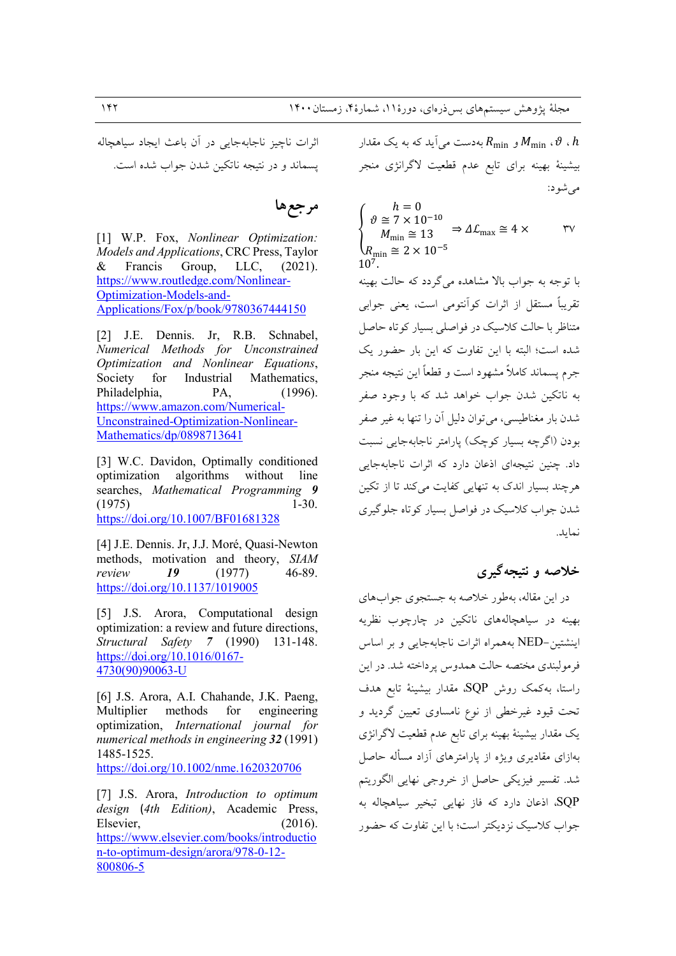اثرات ناچيز ناجابهجايي در آن باعث ايجاد سياهچاله يسماند و در نتيجه ناتكين شدن جواب شده است.

### مرجعها

[1] W.P. Fox, Nonlinear Optimization: Models and Applications, CRC Press, Taylor Francis Group, LLC,  $(2021).$ & https://www.routledge.com/Nonlinear-Optimization-Models-and-Applications/Fox/p/book/9780367444150

[2] J.E. Dennis. Jr. R.B. Schnabel. Numerical Methods for Unconstrained Optimization and Nonlinear Equations, Industrial Society for Mathematics, Philadelphia. PA.  $(1996).$ https://www.amazon.com/Numerical-Unconstrained-Optimization-Nonlinear-Mathematics/dp/0898713641

[3] W.C. Davidon, Optimally conditioned optimization algorithms without line searches, Mathematical Programming 9  $(1975)$  $1-30.$ https://doi.org/10.1007/BF01681328

[4] J.E. Dennis. Jr, J.J. Moré, Quasi-Newton methods, motivation and theory, SIAM 19 46-89. review  $(1977)$ https://doi.org/10.1137/1019005

[5] J.S. Arora, Computational design optimization: a review and future directions, Structural Safety 7 (1990) 131-148. https://doi.org/10.1016/0167-4730(90)90063-U

[6] J.S. Arora, A.I. Chahande, J.K. Paeng, Multiplier methods for engineering optimization, International journal for numerical methods in engineering 32 (1991) 1485-1525. https://doi.org/10.1002/nme.1620320706

[7] J.S. Arora, *Introduction to optimum* design (4th Edition), Academic Press, Elsevier,  $(2016).$ https://www.elsevier.com/books/introductio n-to-optimum-design/arora/978-0-12-800806-5

بهدست می آید که به یک مقدار  $R_{\rm min}$  ،  $\vartheta$  .  $h$ بیشینهٔ بهینه برای تابع عدم قطعیت لاگرانژی منجر مي شود:

 $h = 0$ <br> $\vartheta \cong 7 \times 10^{-10}$  $\Rightarrow$   $\Delta \mathcal{L}_{\text{max}} \cong 4 \times$  $\mathsf{rv}$  $M_{\text{min}} \cong 13$  $R_{\text{min}} \cong 2 \times 10^{-5}$  $10^{7}$ . یا توجه به جواب بالا مشاهده مے گردد که حالت بهینه تقریباً مستقل از اثرات کو آنتومی است، یعنی جوابی متناظر با حالت کلاسیک در فواصلی بسیار کو تاه حاصل شده است؛ البته با این تفاوت که این بار حضور یک جرم پسماند کاملاً مشهود است و قطعاً این نتیجه منجر <sub>ب</sub>ه ناتکین شدن جواب خواهد شد که با وجود صفر شدن بار مغناطیسی، می توان دلیل آن را تنها به غیر صفر بودن (اگرچه بسیار کوچک) پارامتر ناجابهجایی نسبت داد. چنین نتیجهای اذعان دارد که اثرات ناجابهجایی هر چند بسیار اندک به تنهایی کفایت میکند تا از تکین شدن جواب کلاسیک در فواصل بسیار کو تاه جلوگیری نمايد.

### خلاصه و نتیجهگیری

در این مقاله، بهطور خلاصه به جستجوی جوابهای بهینه در سیاهچالههای ناتکین در چارچوب نظریه اينشتين-NED بههمراه اثرات ناجابهجايي وبر اساس فرمولبندي مختصه حالت همدوس پرداخته شد. در اين راستا، بەكمك روش SQP، مقدار بیشینهٔ تابع هدف تحت قیود غیرخطی از نوع نامساوی تعیین گردید و یک مقدار بیشینهٔ بهینه برای تابع عدم قطعیت لاگرانژی بهازای مقادیری ویژه از پارامترهای آزاد مسأله حاصل شد. تفسیر فیزیکی حاصل از خروجی نهایی الگوریتم اذعان دارد که فاز نهایی تبخیر سیاهچاله به  ${\rm \,sQP}$ جواب کلاسیک نزدیکتر است؛ با این تفاوت که حضور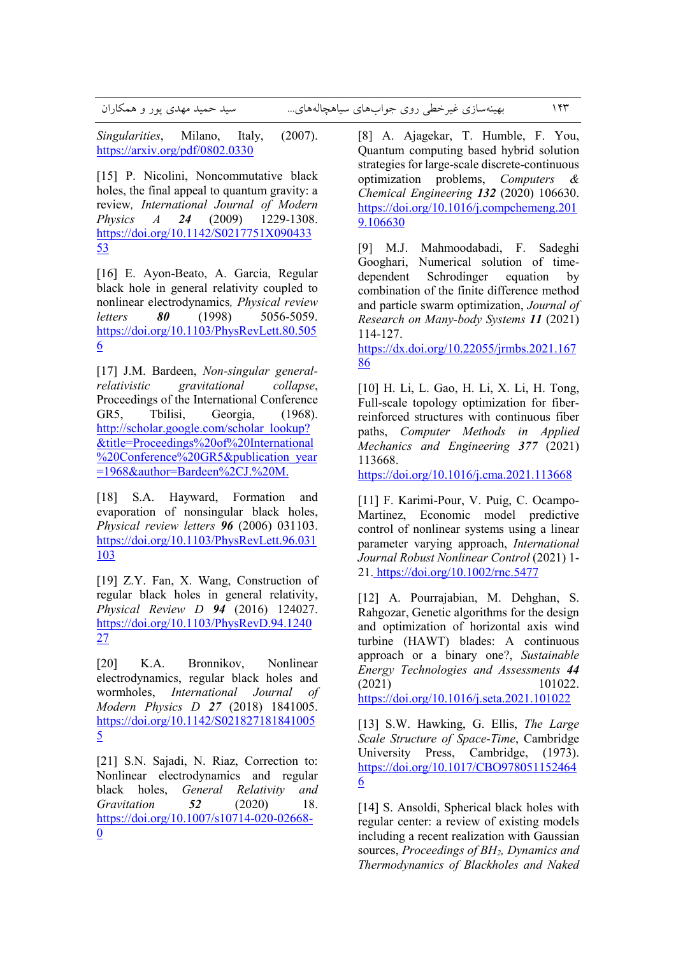*Singularities*, Milano, Italy, (2007). https://arxiv.org/pdf/0802.0330

[15] P. Nicolini, Noncommutative black holes, the final appeal to quantum gravity: a review*, International Journal of Modern Physics A 24* (2009) 1229-1308. https://doi.org/10.1142/S0217751X090433 53

[16] E. Ayon-Beato, A. Garcia, Regular black hole in general relativity coupled to nonlinear electrodynamics*, Physical review letters 80* (1998) 5056-5059. https://doi.org/10.1103/PhysRevLett.80.505 6

[17] J.M. Bardeen, *Non-singular generalrelativistic gravitational collapse*, Proceedings of the International Conference GR5, Tbilisi, Georgia, (1968). http://scholar.google.com/scholar\_lookup? &title=Proceedings%20of%20International %20Conference%20GR5&publication\_year =1968&author=Bardeen%2CJ.%20M.

[18] S.A. Hayward, Formation and evaporation of nonsingular black holes, *Physical review letters 96* (2006) 031103. https://doi.org/10.1103/PhysRevLett.96.031 103

[19] Z.Y. Fan, X. Wang, Construction of regular black holes in general relativity, *Physical Review D 94* (2016) 124027. https://doi.org/10.1103/PhysRevD.94.1240 27

[20] K.A. Bronnikov, Nonlinear electrodynamics, regular black holes and wormholes, *International Journal of Modern Physics D 27* (2018) 1841005. https://doi.org/10.1142/S021827181841005 5

[21] S.N. Sajadi, N. Riaz, Correction to: Nonlinear electrodynamics and regular black holes, *General Relativity and Gravitation 52* (2020) 18. https://doi.org/10.1007/s10714-020-02668- 0

[8] A. Ajagekar, T. Humble, F. You, Quantum computing based hybrid solution strategies for large-scale discrete-continuous optimization problems, *Computers & Chemical Engineering 132* (2020) 106630. https://doi.org/10.1016/j.compchemeng.201 9.106630

[9] M.J. Mahmoodabadi, F. Sadeghi Googhari, Numerical solution of timedependent Schrodinger equation by combination of the finite difference method and particle swarm optimization, *Journal of Research on Many-body Systems 11* (2021) 114-127.

https://dx.doi.org/10.22055/jrmbs.2021.167 86

[10] H. Li, L. Gao, H. Li, X. Li, H. Tong, Full-scale topology optimization for fiberreinforced structures with continuous fiber paths, *Computer Methods in Applied Mechanics and Engineering 377* (2021) 113668.

https://doi.org/10.1016/j.cma.2021.113668

[11] F. Karimi-Pour, V. Puig, C. Ocampo-Martinez, Economic model predictive control of nonlinear systems using a linear parameter varying approach, *International Journal Robust Nonlinear Control* (2021) 1- 21. https://doi.org/10.1002/rnc.5477

[12] A. Pourrajabian, M. Dehghan, S. Rahgozar, Genetic algorithms for the design and optimization of horizontal axis wind turbine (HAWT) blades: A continuous approach or a binary one?, *Sustainable Energy Technologies and Assessments 44* (2021) 101022. https://doi.org/10.1016/j.seta.2021.101022

[13] S.W. Hawking, G. Ellis, *The Large Scale Structure of Space-Time*, Cambridge University Press, Cambridge, (1973). https://doi.org/10.1017/CBO978051152464 6

[14] S. Ansoldi, Spherical black holes with regular center: a review of existing models including a recent realization with Gaussian sources, *Proceedings of BH2, Dynamics and Thermodynamics of Blackholes and Naked*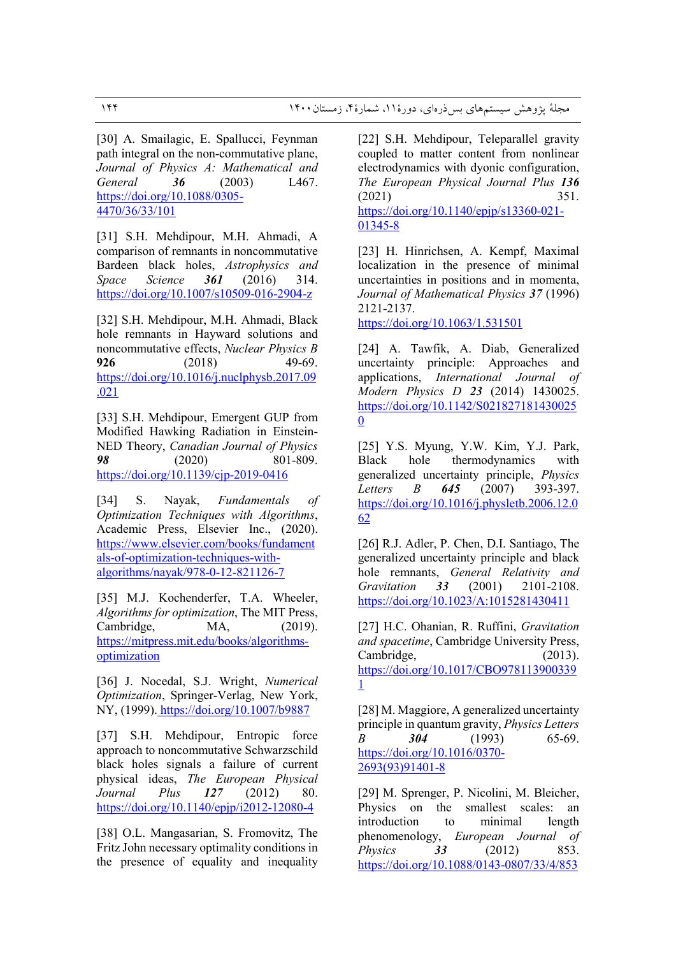[30] A. Smailagic, E. Spallucci, Feynman path integral on the non-commutative plane, *Journal of Physics A: Mathematical and General 36* (2003) L467. https://doi.org/10.1088/0305- 4470/36/33/101

[31] S.H. Mehdipour, M.H. Ahmadi, A comparison of remnants in noncommutative Bardeen black holes, *Astrophysics and Space Science 361* (2016) 314. https://doi.org/10.1007/s10509-016-2904-z

[32] S.H. Mehdipour, M.H. Ahmadi, Black hole remnants in Hayward solutions and noncommutative effects, *Nuclear Physics B* **926** (2018) 49-69. https://doi.org/10.1016/j.nuclphysb.2017.09 .021

[33] S.H. Mehdipour, Emergent GUP from Modified Hawking Radiation in Einstein-NED Theory, *Canadian Journal of Physics 98* (2020) 801-809. https://doi.org/10.1139/cjp-2019-0416

[34] S. Nayak, *Fundamentals of Optimization Techniques with Algorithms*, Academic Press, Elsevier Inc., (2020). https://www.elsevier.com/books/fundament als-of-optimization-techniques-withalgorithms/nayak/978-0-12-821126-7

[35] M.J. Kochenderfer, T.A. Wheeler, *Algorithms for optimization*, The MIT Press, Cambridge, MA, (2019). https://mitpress.mit.edu/books/algorithmsoptimization

[36] J. Nocedal, S.J. Wright, *Numerical Optimization*, Springer-Verlag, New York, NY, (1999). https://doi.org/10.1007/b9887

[37] S.H. Mehdipour, Entropic force approach to noncommutative Schwarzschild black holes signals a failure of current physical ideas, *The European Physical Journal Plus 127* (2012) 80. https://doi.org/10.1140/epjp/i2012-12080-4

[38] O.L. Mangasarian, S. Fromovitz, The Fritz John necessary optimality conditions in the presence of equality and inequality [22] S.H. Mehdipour, Teleparallel gravity coupled to matter content from nonlinear electrodynamics with dyonic configuration, *The European Physical Journal Plus 136* (2021) 351. https://doi.org/10.1140/epjp/s13360-021-

01345-8

[23] H. Hinrichsen, A. Kempf, Maximal localization in the presence of minimal uncertainties in positions and in momenta, *Journal of Mathematical Physics 37* (1996) 2121-2137.

https://doi.org/10.1063/1.531501

[24] A. Tawfik, A. Diab, Generalized uncertainty principle: Approaches and applications, *International Journal of Modern Physics D 23* (2014) 1430025. https://doi.org/10.1142/S021827181430025 0

[25] Y.S. Myung, Y.W. Kim, Y.J. Park, Black hole thermodynamics with generalized uncertainty principle, *Physics Letters B 645* (2007) 393-397. https://doi.org/10.1016/j.physletb.2006.12.0 62

[26] R.J. Adler, P. Chen, D.I. Santiago, The generalized uncertainty principle and black hole remnants, *General Relativity and Gravitation 33* (2001) 2101-2108. https://doi.org/10.1023/A:1015281430411

[27] H.C. Ohanian, R. Ruffini, *Gravitation and spacetime*, Cambridge University Press, Cambridge. (2013). https://doi.org/10.1017/CBO978113900339 1

[28] M. Maggiore, A generalized uncertainty principle in quantum gravity, *Physics Letters B 304* (1993) 65-69. https://doi.org/10.1016/0370- 2693(93)91401-8

[29] M. Sprenger, P. Nicolini, M. Bleicher, Physics on the smallest scales: an introduction to minimal length phenomenology, *European Journal of Physics 33* (2012) 853. https://doi.org/10.1088/0143-0807/33/4/853